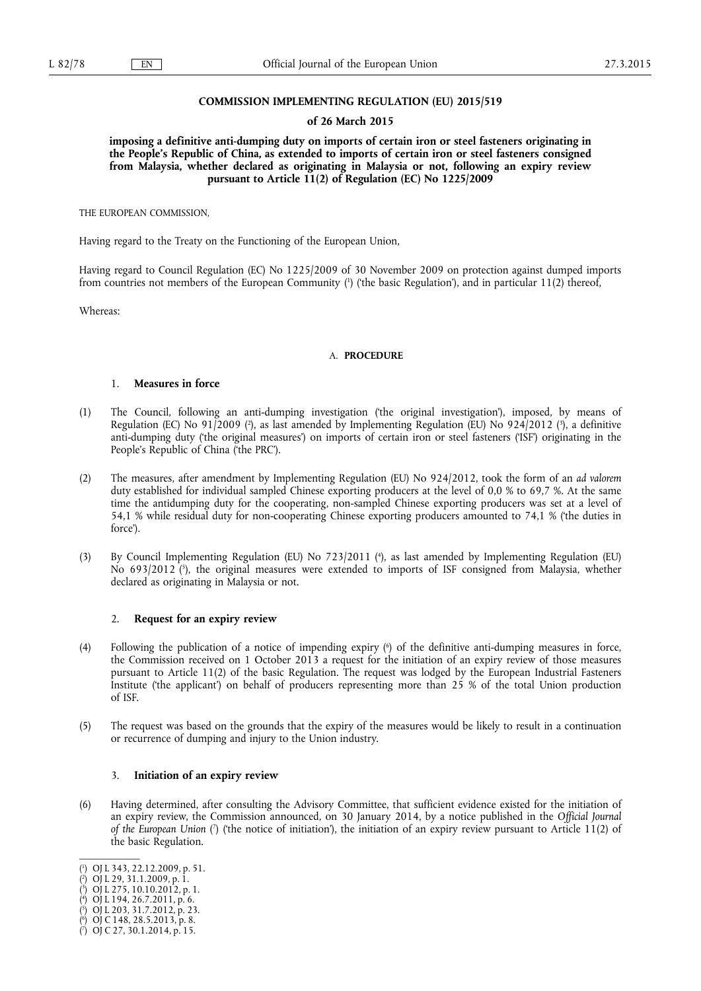## **COMMISSION IMPLEMENTING REGULATION (EU) 2015/519**

#### **of 26 March 2015**

**imposing a definitive anti-dumping duty on imports of certain iron or steel fasteners originating in the People's Republic of China, as extended to imports of certain iron or steel fasteners consigned from Malaysia, whether declared as originating in Malaysia or not, following an expiry review pursuant to Article 11(2) of Regulation (EC) No 1225/2009** 

THE EUROPEAN COMMISSION,

Having regard to the Treaty on the Functioning of the European Union,

Having regard to Council Regulation (EC) No 1225/2009 of 30 November 2009 on protection against dumped imports from countries not members of the European Community ( 1 ) ('the basic Regulation'), and in particular 11(2) thereof,

Whereas:

#### A. **PROCEDURE**

## 1. **Measures in force**

- (1) The Council, following an anti-dumping investigation ('the original investigation'), imposed, by means of Regulation (EC) No 91/2009 (?), as last amended by Implementing Regulation (EU) No 924/2012 (?), a definitive anti-dumping duty ('the original measures') on imports of certain iron or steel fasteners ('ISF') originating in the People's Republic of China ('the PRC').
- (2) The measures, after amendment by Implementing Regulation (EU) No 924/2012, took the form of an *ad valorem*  duty established for individual sampled Chinese exporting producers at the level of 0,0 % to 69,7 %. At the same time the antidumping duty for the cooperating, non-sampled Chinese exporting producers was set at a level of 54,1 % while residual duty for non-cooperating Chinese exporting producers amounted to 74,1 % ('the duties in force').
- (3) By Council Implementing Regulation (EU) No 723/2011 ( 4 ), as last amended by Implementing Regulation (EU) No 693/2012 ( 5 ), the original measures were extended to imports of ISF consigned from Malaysia, whether declared as originating in Malaysia or not.

## 2. **Request for an expiry review**

- (4) Following the publication of a notice of impending expiry ( 6 ) of the definitive anti-dumping measures in force, the Commission received on 1 October 2013 a request for the initiation of an expiry review of those measures pursuant to Article 11(2) of the basic Regulation. The request was lodged by the European Industrial Fasteners Institute ('the applicant') on behalf of producers representing more than 25 % of the total Union production of ISF.
- (5) The request was based on the grounds that the expiry of the measures would be likely to result in a continuation or recurrence of dumping and injury to the Union industry.

#### 3. **Initiation of an expiry review**

(6) Having determined, after consulting the Advisory Committee, that sufficient evidence existed for the initiation of an expiry review, the Commission announced, on 30 January 2014, by a notice published in the *Official Journal of the European Union (*) (the notice of initiation'), the initiation of an expiry review pursuant to Article 11(2) of the basic Regulation.

<sup>(</sup> 1 ) OJ L 343, 22.12.2009, p. 51.

<sup>(</sup> 2 ) OJ L 29, 31.1.2009, p. 1.

<sup>(</sup> 3 ) OJ L 275, 10.10.2012, p. 1.

<sup>(</sup> 4 ) OJ L 194, 26.7.2011, p. 6. ( 5 ) OJ L 203, 31.7.2012, p. 23.

<sup>(</sup> 6 ) OJ C 148, 28.5.2013, p. 8.

<sup>(</sup> 7 ) OJ C 27, 30.1.2014, p. 15.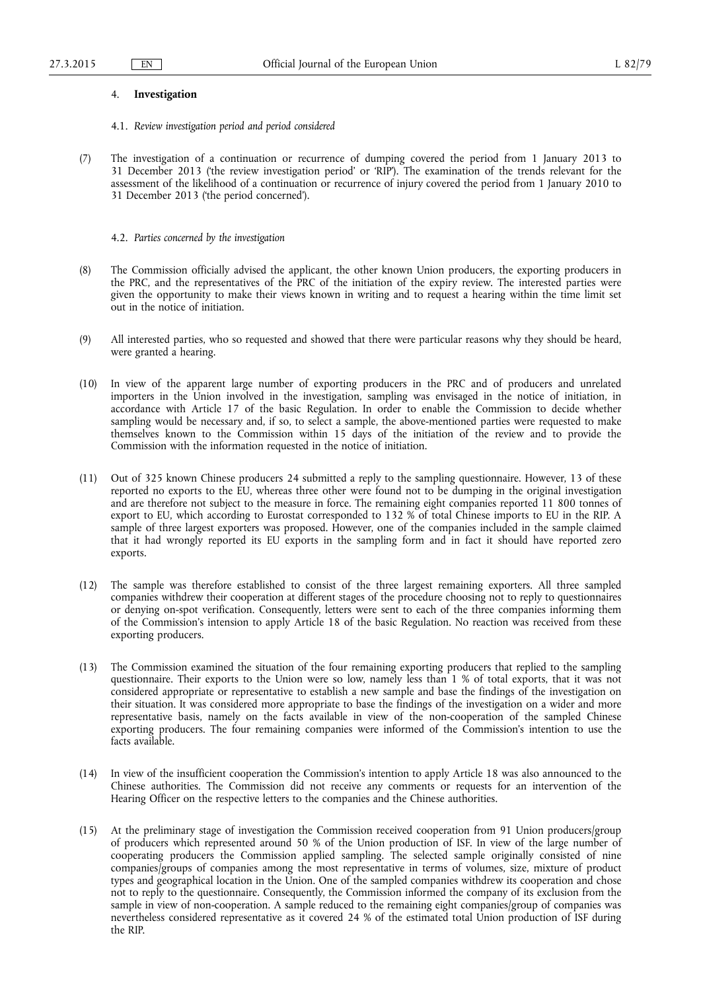## 4. **Investigation**

- 4.1. *Review investigation period and period considered*
- (7) The investigation of a continuation or recurrence of dumping covered the period from 1 January 2013 to 31 December 2013 ('the review investigation period' or 'RIP'). The examination of the trends relevant for the assessment of the likelihood of a continuation or recurrence of injury covered the period from 1 January 2010 to 31 December 2013 ('the period concerned').

4.2. *Parties concerned by the investigation* 

- (8) The Commission officially advised the applicant, the other known Union producers, the exporting producers in the PRC, and the representatives of the PRC of the initiation of the expiry review. The interested parties were given the opportunity to make their views known in writing and to request a hearing within the time limit set out in the notice of initiation.
- (9) All interested parties, who so requested and showed that there were particular reasons why they should be heard, were granted a hearing.
- (10) In view of the apparent large number of exporting producers in the PRC and of producers and unrelated importers in the Union involved in the investigation, sampling was envisaged in the notice of initiation, in accordance with Article 17 of the basic Regulation. In order to enable the Commission to decide whether sampling would be necessary and, if so, to select a sample, the above-mentioned parties were requested to make themselves known to the Commission within 15 days of the initiation of the review and to provide the Commission with the information requested in the notice of initiation.
- (11) Out of 325 known Chinese producers 24 submitted a reply to the sampling questionnaire. However, 13 of these reported no exports to the EU, whereas three other were found not to be dumping in the original investigation and are therefore not subject to the measure in force. The remaining eight companies reported 11 800 tonnes of export to EU, which according to Eurostat corresponded to 132 % of total Chinese imports to EU in the RIP. A sample of three largest exporters was proposed. However, one of the companies included in the sample claimed that it had wrongly reported its EU exports in the sampling form and in fact it should have reported zero exports.
- (12) The sample was therefore established to consist of the three largest remaining exporters. All three sampled companies withdrew their cooperation at different stages of the procedure choosing not to reply to questionnaires or denying on-spot verification. Consequently, letters were sent to each of the three companies informing them of the Commission's intension to apply Article 18 of the basic Regulation. No reaction was received from these exporting producers.
- (13) The Commission examined the situation of the four remaining exporting producers that replied to the sampling questionnaire. Their exports to the Union were so low, namely less than 1 % of total exports, that it was not considered appropriate or representative to establish a new sample and base the findings of the investigation on their situation. It was considered more appropriate to base the findings of the investigation on a wider and more representative basis, namely on the facts available in view of the non-cooperation of the sampled Chinese exporting producers. The four remaining companies were informed of the Commission's intention to use the facts available.
- (14) In view of the insufficient cooperation the Commission's intention to apply Article 18 was also announced to the Chinese authorities. The Commission did not receive any comments or requests for an intervention of the Hearing Officer on the respective letters to the companies and the Chinese authorities.
- (15) At the preliminary stage of investigation the Commission received cooperation from 91 Union producers/group of producers which represented around 50 % of the Union production of ISF. In view of the large number of cooperating producers the Commission applied sampling. The selected sample originally consisted of nine companies/groups of companies among the most representative in terms of volumes, size, mixture of product types and geographical location in the Union. One of the sampled companies withdrew its cooperation and chose not to reply to the questionnaire. Consequently, the Commission informed the company of its exclusion from the sample in view of non-cooperation. A sample reduced to the remaining eight companies/group of companies was nevertheless considered representative as it covered 24 % of the estimated total Union production of ISF during the RIP.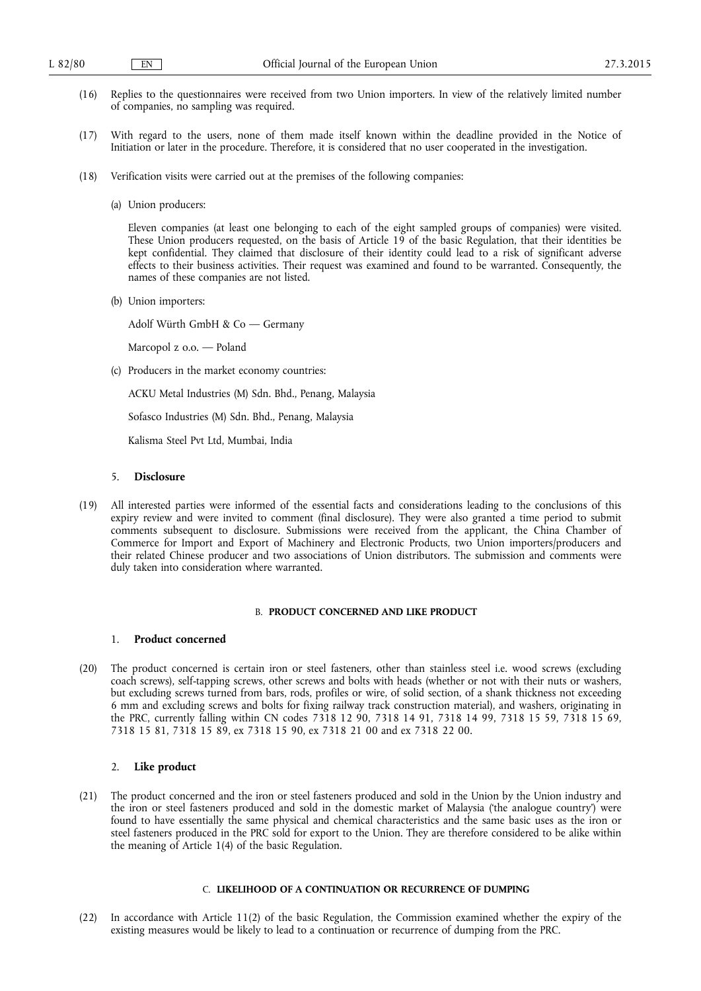- (16) Replies to the questionnaires were received from two Union importers. In view of the relatively limited number of companies, no sampling was required.
- (17) With regard to the users, none of them made itself known within the deadline provided in the Notice of Initiation or later in the procedure. Therefore, it is considered that no user cooperated in the investigation.
- (18) Verification visits were carried out at the premises of the following companies:
	- (a) Union producers:

Eleven companies (at least one belonging to each of the eight sampled groups of companies) were visited. These Union producers requested, on the basis of Article 19 of the basic Regulation, that their identities be kept confidential. They claimed that disclosure of their identity could lead to a risk of significant adverse effects to their business activities. Their request was examined and found to be warranted. Consequently, the names of these companies are not listed.

(b) Union importers:

Adolf Würth GmbH & Co — Germany

Marcopol z o.o. — Poland

(c) Producers in the market economy countries:

ACKU Metal Industries (M) Sdn. Bhd., Penang, Malaysia

Sofasco Industries (M) Sdn. Bhd., Penang, Malaysia

Kalisma Steel Pvt Ltd, Mumbai, India

## 5. **Disclosure**

(19) All interested parties were informed of the essential facts and considerations leading to the conclusions of this expiry review and were invited to comment (final disclosure). They were also granted a time period to submit comments subsequent to disclosure. Submissions were received from the applicant, the China Chamber of Commerce for Import and Export of Machinery and Electronic Products, two Union importers/producers and their related Chinese producer and two associations of Union distributors. The submission and comments were duly taken into consideration where warranted.

## B. **PRODUCT CONCERNED AND LIKE PRODUCT**

## 1. **Product concerned**

(20) The product concerned is certain iron or steel fasteners, other than stainless steel i.e. wood screws (excluding coach screws), self-tapping screws, other screws and bolts with heads (whether or not with their nuts or washers, but excluding screws turned from bars, rods, profiles or wire, of solid section, of a shank thickness not exceeding 6 mm and excluding screws and bolts for fixing railway track construction material), and washers, originating in the PRC, currently falling within CN codes 7318 12 90, 7318 14 91, 7318 14 99, 7318 15 59, 7318 15 69, 7318 15 81, 7318 15 89, ex 7318 15 90, ex 7318 21 00 and ex 7318 22 00.

## 2. **Like product**

(21) The product concerned and the iron or steel fasteners produced and sold in the Union by the Union industry and the iron or steel fasteners produced and sold in the domestic market of Malaysia ('the analogue country') were found to have essentially the same physical and chemical characteristics and the same basic uses as the iron or steel fasteners produced in the PRC sold for export to the Union. They are therefore considered to be alike within the meaning of Article 1(4) of the basic Regulation.

#### C. **LIKELIHOOD OF A CONTINUATION OR RECURRENCE OF DUMPING**

(22) In accordance with Article 11(2) of the basic Regulation, the Commission examined whether the expiry of the existing measures would be likely to lead to a continuation or recurrence of dumping from the PRC.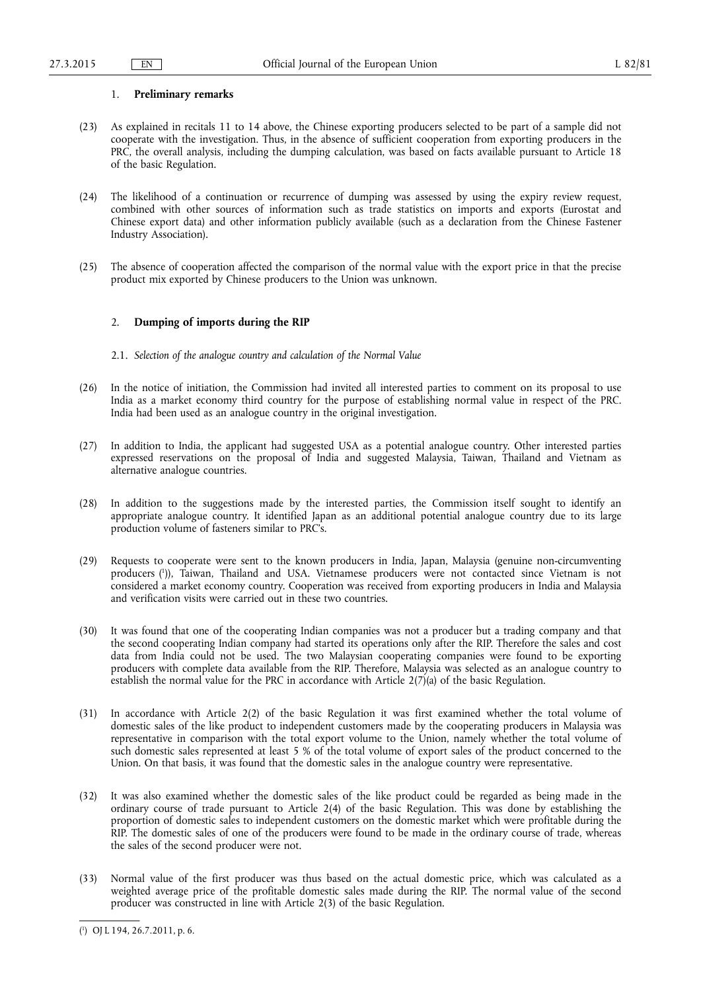## 1. **Preliminary remarks**

- (23) As explained in recitals 11 to 14 above, the Chinese exporting producers selected to be part of a sample did not cooperate with the investigation. Thus, in the absence of sufficient cooperation from exporting producers in the PRC, the overall analysis, including the dumping calculation, was based on facts available pursuant to Article 18 of the basic Regulation.
- (24) The likelihood of a continuation or recurrence of dumping was assessed by using the expiry review request, combined with other sources of information such as trade statistics on imports and exports (Eurostat and Chinese export data) and other information publicly available (such as a declaration from the Chinese Fastener Industry Association).
- (25) The absence of cooperation affected the comparison of the normal value with the export price in that the precise product mix exported by Chinese producers to the Union was unknown.

#### 2. **Dumping of imports during the RIP**

- 2.1. *Selection of the analogue country and calculation of the Normal Value*
- (26) In the notice of initiation, the Commission had invited all interested parties to comment on its proposal to use India as a market economy third country for the purpose of establishing normal value in respect of the PRC. India had been used as an analogue country in the original investigation.
- (27) In addition to India, the applicant had suggested USA as a potential analogue country. Other interested parties expressed reservations on the proposal of India and suggested Malaysia, Taiwan, Thailand and Vietnam as alternative analogue countries.
- (28) In addition to the suggestions made by the interested parties, the Commission itself sought to identify an appropriate analogue country. It identified Japan as an additional potential analogue country due to its large production volume of fasteners similar to PRC's.
- (29) Requests to cooperate were sent to the known producers in India, Japan, Malaysia (genuine non-circumventing producers ( 1 )), Taiwan, Thailand and USA. Vietnamese producers were not contacted since Vietnam is not considered a market economy country. Cooperation was received from exporting producers in India and Malaysia and verification visits were carried out in these two countries.
- (30) It was found that one of the cooperating Indian companies was not a producer but a trading company and that the second cooperating Indian company had started its operations only after the RIP. Therefore the sales and cost data from India could not be used. The two Malaysian cooperating companies were found to be exporting producers with complete data available from the RIP. Therefore, Malaysia was selected as an analogue country to establish the normal value for the PRC in accordance with Article  $2(7)(a)$  of the basic Regulation.
- (31) In accordance with Article 2(2) of the basic Regulation it was first examined whether the total volume of domestic sales of the like product to independent customers made by the cooperating producers in Malaysia was representative in comparison with the total export volume to the Union, namely whether the total volume of such domestic sales represented at least 5 % of the total volume of export sales of the product concerned to the Union. On that basis, it was found that the domestic sales in the analogue country were representative.
- (32) It was also examined whether the domestic sales of the like product could be regarded as being made in the ordinary course of trade pursuant to Article 2(4) of the basic Regulation. This was done by establishing the proportion of domestic sales to independent customers on the domestic market which were profitable during the RIP. The domestic sales of one of the producers were found to be made in the ordinary course of trade, whereas the sales of the second producer were not.
- (33) Normal value of the first producer was thus based on the actual domestic price, which was calculated as a weighted average price of the profitable domestic sales made during the RIP. The normal value of the second producer was constructed in line with Article 2(3) of the basic Regulation.

<sup>(</sup> 1 ) OJ L 194, 26.7.2011, p. 6.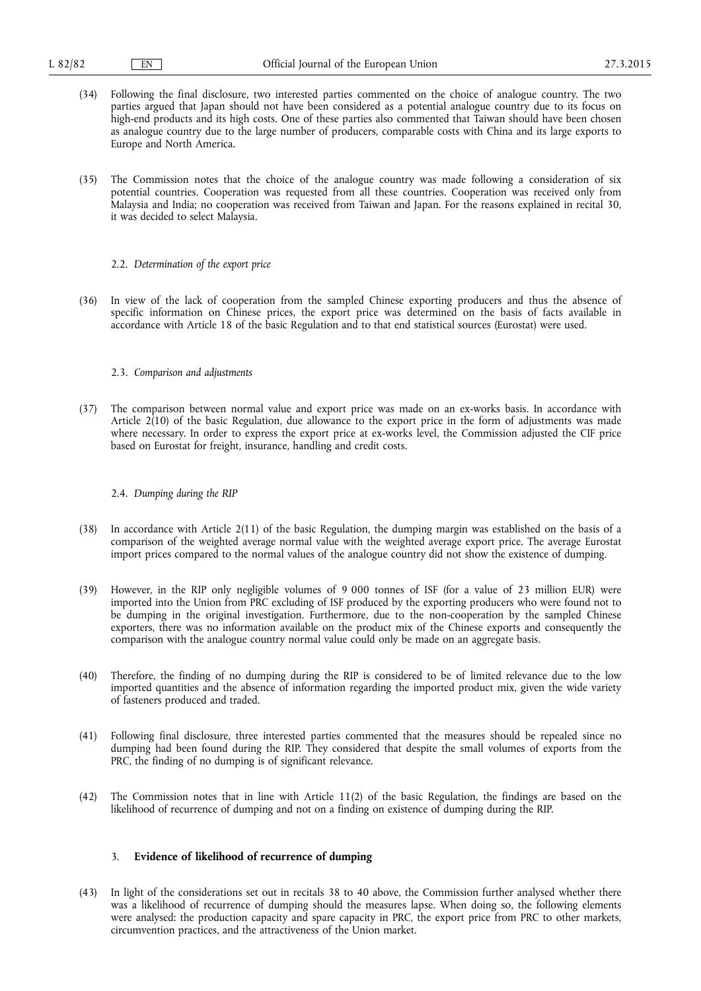- (34) Following the final disclosure, two interested parties commented on the choice of analogue country. The two parties argued that Japan should not have been considered as a potential analogue country due to its focus on high-end products and its high costs. One of these parties also commented that Taiwan should have been chosen as analogue country due to the large number of producers, comparable costs with China and its large exports to Europe and North America.
- (35) The Commission notes that the choice of the analogue country was made following a consideration of six potential countries. Cooperation was requested from all these countries. Cooperation was received only from Malaysia and India; no cooperation was received from Taiwan and Japan. For the reasons explained in recital 30, it was decided to select Malaysia.
	- 2.2. *Determination of the export price*
- (36) In view of the lack of cooperation from the sampled Chinese exporting producers and thus the absence of specific information on Chinese prices, the export price was determined on the basis of facts available in accordance with Article 18 of the basic Regulation and to that end statistical sources (Eurostat) were used.

#### 2.3. *Comparison and adjustments*

(37) The comparison between normal value and export price was made on an ex-works basis. In accordance with Article 2(10) of the basic Regulation, due allowance to the export price in the form of adjustments was made where necessary. In order to express the export price at ex-works level, the Commission adjusted the CIF price based on Eurostat for freight, insurance, handling and credit costs.

#### 2.4. *Dumping during the RIP*

- (38) In accordance with Article 2(11) of the basic Regulation, the dumping margin was established on the basis of a comparison of the weighted average normal value with the weighted average export price. The average Eurostat import prices compared to the normal values of the analogue country did not show the existence of dumping.
- (39) However, in the RIP only negligible volumes of 9 000 tonnes of ISF (for a value of 23 million EUR) were imported into the Union from PRC excluding of ISF produced by the exporting producers who were found not to be dumping in the original investigation. Furthermore, due to the non-cooperation by the sampled Chinese exporters, there was no information available on the product mix of the Chinese exports and consequently the comparison with the analogue country normal value could only be made on an aggregate basis.
- (40) Therefore, the finding of no dumping during the RIP is considered to be of limited relevance due to the low imported quantities and the absence of information regarding the imported product mix, given the wide variety of fasteners produced and traded.
- (41) Following final disclosure, three interested parties commented that the measures should be repealed since no dumping had been found during the RIP. They considered that despite the small volumes of exports from the PRC, the finding of no dumping is of significant relevance.
- (42) The Commission notes that in line with Article 11(2) of the basic Regulation, the findings are based on the likelihood of recurrence of dumping and not on a finding on existence of dumping during the RIP.

## 3. **Evidence of likelihood of recurrence of dumping**

(43) In light of the considerations set out in recitals 38 to 40 above, the Commission further analysed whether there was a likelihood of recurrence of dumping should the measures lapse. When doing so, the following elements were analysed: the production capacity and spare capacity in PRC, the export price from PRC to other markets, circumvention practices, and the attractiveness of the Union market.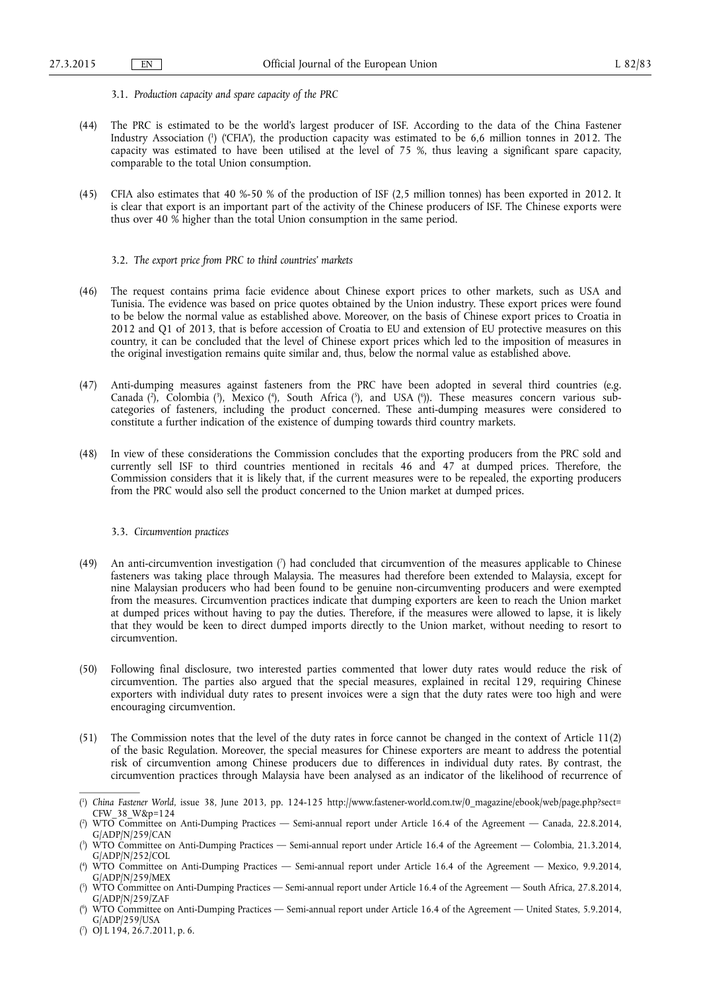- 3.1. *Production capacity and spare capacity of the PRC*
- (44) The PRC is estimated to be the world's largest producer of ISF. According to the data of the China Fastener Industry Association ( 1 ) ('CFIA'), the production capacity was estimated to be 6,6 million tonnes in 2012. The capacity was estimated to have been utilised at the level of 75 %, thus leaving a significant spare capacity, comparable to the total Union consumption.
- (45) CFIA also estimates that 40 %-50 % of the production of ISF (2,5 million tonnes) has been exported in 2012. It is clear that export is an important part of the activity of the Chinese producers of ISF. The Chinese exports were thus over 40 % higher than the total Union consumption in the same period.
	- 3.2. *The export price from PRC to third countries' markets*
- (46) The request contains prima facie evidence about Chinese export prices to other markets, such as USA and Tunisia. The evidence was based on price quotes obtained by the Union industry. These export prices were found to be below the normal value as established above. Moreover, on the basis of Chinese export prices to Croatia in 2012 and Q1 of 2013, that is before accession of Croatia to EU and extension of EU protective measures on this country, it can be concluded that the level of Chinese export prices which led to the imposition of measures in the original investigation remains quite similar and, thus, below the normal value as established above.
- (47) Anti-dumping measures against fasteners from the PRC have been adopted in several third countries (e.g. Canada (?), Colombia (?), Mexico (\*), South Africa (?), and USA (\*)). These measures concern various subcategories of fasteners, including the product concerned. These anti-dumping measures were considered to constitute a further indication of the existence of dumping towards third country markets.
- (48) In view of these considerations the Commission concludes that the exporting producers from the PRC sold and currently sell ISF to third countries mentioned in recitals 46 and 47 at dumped prices. Therefore, the Commission considers that it is likely that, if the current measures were to be repealed, the exporting producers from the PRC would also sell the product concerned to the Union market at dumped prices.

#### 3.3. *Circumvention practices*

- (49) An anti-circumvention investigation ( 7 ) had concluded that circumvention of the measures applicable to Chinese fasteners was taking place through Malaysia. The measures had therefore been extended to Malaysia, except for nine Malaysian producers who had been found to be genuine non-circumventing producers and were exempted from the measures. Circumvention practices indicate that dumping exporters are keen to reach the Union market at dumped prices without having to pay the duties. Therefore, if the measures were allowed to lapse, it is likely that they would be keen to direct dumped imports directly to the Union market, without needing to resort to circumvention.
- (50) Following final disclosure, two interested parties commented that lower duty rates would reduce the risk of circumvention. The parties also argued that the special measures, explained in recital 129, requiring Chinese exporters with individual duty rates to present invoices were a sign that the duty rates were too high and were encouraging circumvention.
- (51) The Commission notes that the level of the duty rates in force cannot be changed in the context of Article 11(2) of the basic Regulation. Moreover, the special measures for Chinese exporters are meant to address the potential risk of circumvention among Chinese producers due to differences in individual duty rates. By contrast, the circumvention practices through Malaysia have been analysed as an indicator of the likelihood of recurrence of

<sup>(</sup> 1 ) *China Fastener World*, issue 38, June 2013, pp. 124-125 [http://www.fastener-world.com.tw/0\\_magazine/ebook/web/page.php?sect=](http://www.fastener-world.com.tw/0_magazine/ebook/web/page.php?sect=CFW_38_W&p=124)  [CFW\\_38\\_W&p=124](http://www.fastener-world.com.tw/0_magazine/ebook/web/page.php?sect=CFW_38_W&p=124)

<sup>(</sup> 2 ) WTO Committee on Anti-Dumping Practices — Semi-annual report under Article 16.4 of the Agreement — Canada, 22.8.2014, G/ADP/N/259/CAN

<sup>(</sup> 3 ) WTO Committee on Anti-Dumping Practices — Semi-annual report under Article 16.4 of the Agreement — Colombia, 21.3.2014, G/ADP/N/252/COL

<sup>(</sup> 4 ) WTO Committee on Anti-Dumping Practices — Semi-annual report under Article 16.4 of the Agreement — Mexico, 9.9.2014, G/ADP/N/259/MEX

<sup>(</sup> 5 ) WTO Committee on Anti-Dumping Practices — Semi-annual report under Article 16.4 of the Agreement — South Africa, 27.8.2014, G/ADP/N/259/ZAF

<sup>(</sup> 6 ) WTO Committee on Anti-Dumping Practices — Semi-annual report under Article 16.4 of the Agreement — United States, 5.9.2014, G/ADP/259/USA

<sup>(</sup> 7 ) OJ L 194, 26.7.2011, p. 6.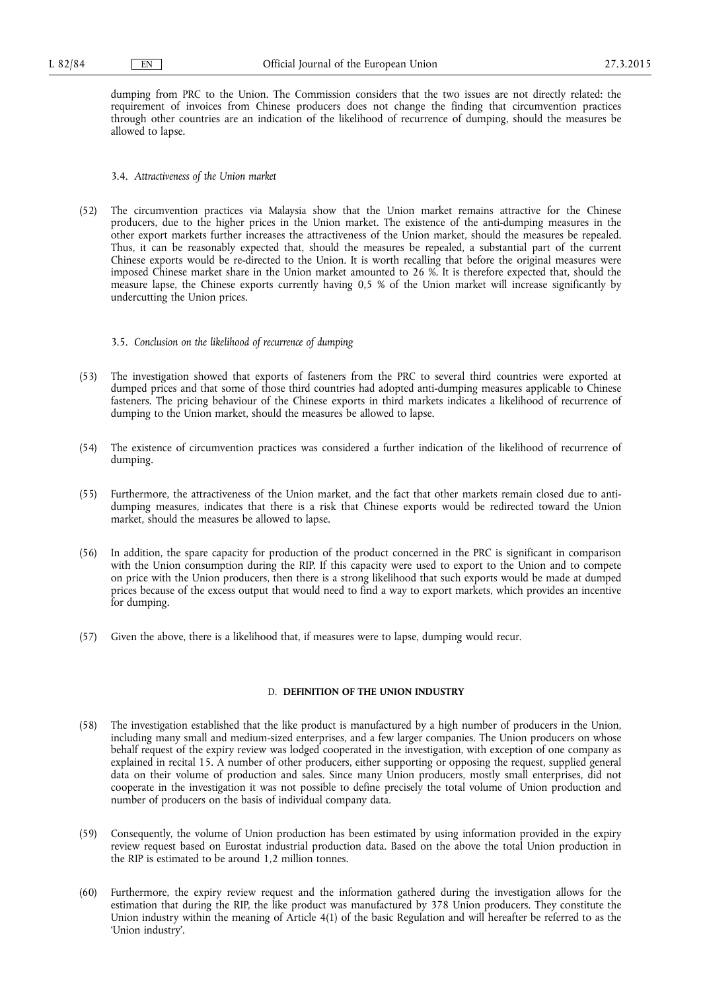dumping from PRC to the Union. The Commission considers that the two issues are not directly related: the requirement of invoices from Chinese producers does not change the finding that circumvention practices through other countries are an indication of the likelihood of recurrence of dumping, should the measures be allowed to lapse.

## 3.4. *Attractiveness of the Union market*

- (52) The circumvention practices via Malaysia show that the Union market remains attractive for the Chinese producers, due to the higher prices in the Union market. The existence of the anti-dumping measures in the other export markets further increases the attractiveness of the Union market, should the measures be repealed. Thus, it can be reasonably expected that, should the measures be repealed, a substantial part of the current Chinese exports would be re-directed to the Union. It is worth recalling that before the original measures were imposed Chinese market share in the Union market amounted to 26 %. It is therefore expected that, should the measure lapse, the Chinese exports currently having 0,5 % of the Union market will increase significantly by undercutting the Union prices.
	- 3.5. *Conclusion on the likelihood of recurrence of dumping*
- (53) The investigation showed that exports of fasteners from the PRC to several third countries were exported at dumped prices and that some of those third countries had adopted anti-dumping measures applicable to Chinese fasteners. The pricing behaviour of the Chinese exports in third markets indicates a likelihood of recurrence of dumping to the Union market, should the measures be allowed to lapse.
- (54) The existence of circumvention practices was considered a further indication of the likelihood of recurrence of dumping.
- (55) Furthermore, the attractiveness of the Union market, and the fact that other markets remain closed due to antidumping measures, indicates that there is a risk that Chinese exports would be redirected toward the Union market, should the measures be allowed to lapse.
- (56) In addition, the spare capacity for production of the product concerned in the PRC is significant in comparison with the Union consumption during the RIP. If this capacity were used to export to the Union and to compete on price with the Union producers, then there is a strong likelihood that such exports would be made at dumped prices because of the excess output that would need to find a way to export markets, which provides an incentive for dumping.
- (57) Given the above, there is a likelihood that, if measures were to lapse, dumping would recur.

## D. **DEFINITION OF THE UNION INDUSTRY**

- (58) The investigation established that the like product is manufactured by a high number of producers in the Union, including many small and medium-sized enterprises, and a few larger companies. The Union producers on whose behalf request of the expiry review was lodged cooperated in the investigation, with exception of one company as explained in recital 15. A number of other producers, either supporting or opposing the request, supplied general data on their volume of production and sales. Since many Union producers, mostly small enterprises, did not cooperate in the investigation it was not possible to define precisely the total volume of Union production and number of producers on the basis of individual company data.
- (59) Consequently, the volume of Union production has been estimated by using information provided in the expiry review request based on Eurostat industrial production data. Based on the above the total Union production in the RIP is estimated to be around 1,2 million tonnes.
- (60) Furthermore, the expiry review request and the information gathered during the investigation allows for the estimation that during the RIP, the like product was manufactured by 378 Union producers. They constitute the Union industry within the meaning of Article 4(1) of the basic Regulation and will hereafter be referred to as the 'Union industry'.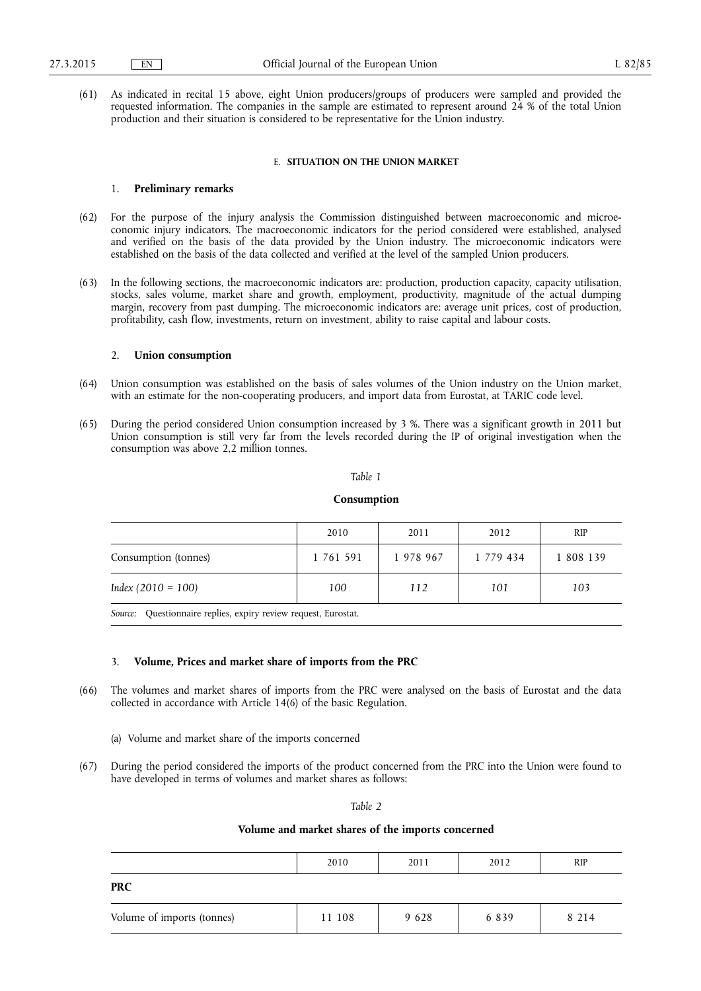(61) As indicated in recital 15 above, eight Union producers/groups of producers were sampled and provided the requested information. The companies in the sample are estimated to represent around 24 % of the total Union production and their situation is considered to be representative for the Union industry.

#### E. **SITUATION ON THE UNION MARKET**

## 1. **Preliminary remarks**

- (62) For the purpose of the injury analysis the Commission distinguished between macroeconomic and microeconomic injury indicators. The macroeconomic indicators for the period considered were established, analysed and verified on the basis of the data provided by the Union industry. The microeconomic indicators were established on the basis of the data collected and verified at the level of the sampled Union producers.
- (63) In the following sections, the macroeconomic indicators are: production, production capacity, capacity utilisation, stocks, sales volume, market share and growth, employment, productivity, magnitude of the actual dumping margin, recovery from past dumping. The microeconomic indicators are: average unit prices, cost of production, profitability, cash flow, investments, return on investment, ability to raise capital and labour costs.

#### 2. **Union consumption**

- (64) Union consumption was established on the basis of sales volumes of the Union industry on the Union market, with an estimate for the non-cooperating producers, and import data from Eurostat, at TARIC code level.
- (65) During the period considered Union consumption increased by 3 %. There was a significant growth in 2011 but Union consumption is still very far from the levels recorded during the IP of original investigation when the consumption was above 2,2 million tonnes.

#### *Table 1*

#### **Consumption**

|                      | 2010      | 2011      | 2012      | <b>RIP</b> |
|----------------------|-----------|-----------|-----------|------------|
| Consumption (tonnes) | 1 761 591 | 1 978 967 | 1 779 434 | 1 808 139  |
| $Index (2010 = 100)$ | 100       | 112       | 101       | 103        |

*Source:* Questionnaire replies, expiry review request, Eurostat.

## 3. **Volume, Prices and market share of imports from the PRC**

- (66) The volumes and market shares of imports from the PRC were analysed on the basis of Eurostat and the data collected in accordance with Article 14(6) of the basic Regulation.
	- (a) Volume and market share of the imports concerned
- (67) During the period considered the imports of the product concerned from the PRC into the Union were found to have developed in terms of volumes and market shares as follows:

*Table 2* 

## **Volume and market shares of the imports concerned**

|                            | 2010   | 2011 | 2012    | <b>RIP</b> |
|----------------------------|--------|------|---------|------------|
| <b>PRC</b>                 |        |      |         |            |
| Volume of imports (tonnes) | 11 108 | 9628 | 6 8 3 9 | 8 2 1 4    |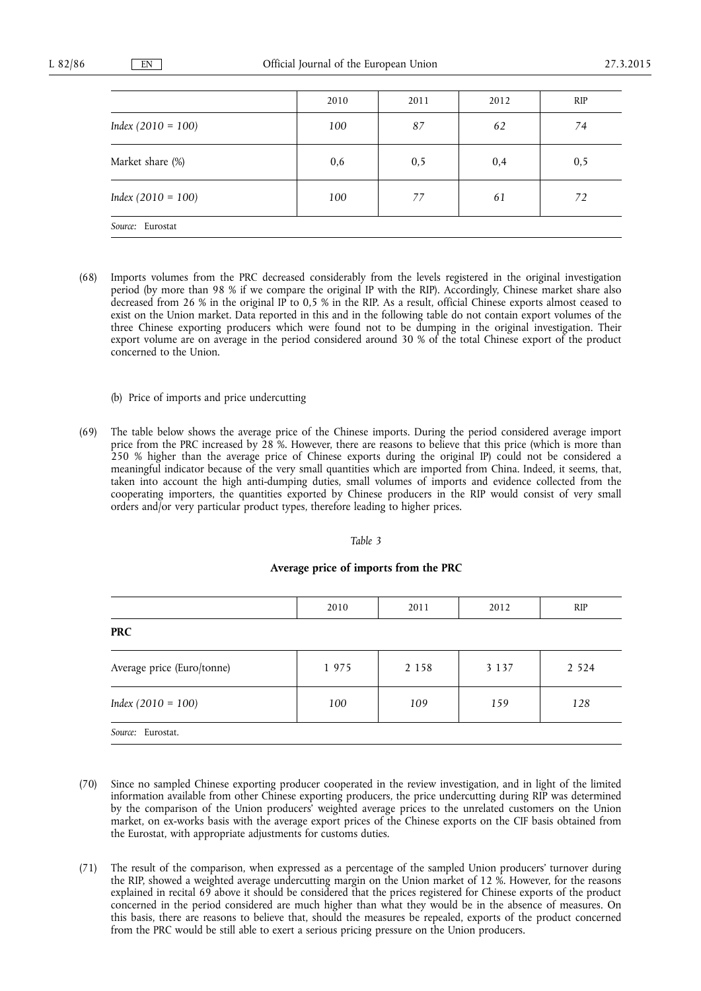|                      | 2010 | 2011 | 2012 | <b>RIP</b> |  |
|----------------------|------|------|------|------------|--|
| $Index (2010 = 100)$ | 100  | 87   | 62   | 74         |  |
| Market share (%)     | 0,6  | 0, 5 | 0,4  | 0, 5       |  |
| $Index (2010 = 100)$ | 100  | 77   | 61   | 72         |  |
| Source: Eurostat     |      |      |      |            |  |

- (68) Imports volumes from the PRC decreased considerably from the levels registered in the original investigation period (by more than 98 % if we compare the original IP with the RIP). Accordingly, Chinese market share also decreased from 26 % in the original IP to 0,5 % in the RIP. As a result, official Chinese exports almost ceased to exist on the Union market. Data reported in this and in the following table do not contain export volumes of the three Chinese exporting producers which were found not to be dumping in the original investigation. Their export volume are on average in the period considered around 30 % of the total Chinese export of the product concerned to the Union.
	- (b) Price of imports and price undercutting
- (69) The table below shows the average price of the Chinese imports. During the period considered average import price from the PRC increased by 28 %. However, there are reasons to believe that this price (which is more than 250 % higher than the average price of Chinese exports during the original IP) could not be considered a meaningful indicator because of the very small quantities which are imported from China. Indeed, it seems, that, taken into account the high anti-dumping duties, small volumes of imports and evidence collected from the cooperating importers, the quantities exported by Chinese producers in the RIP would consist of very small orders and/or very particular product types, therefore leading to higher prices.

#### *Table 3*

### **Average price of imports from the PRC**

|                            | 2010 | 2011    | 2012    | <b>RIP</b> |
|----------------------------|------|---------|---------|------------|
| <b>PRC</b>                 |      |         |         |            |
| Average price (Euro/tonne) | 1975 | 2 1 5 8 | 3 1 3 7 | 2 5 2 4    |
| $Index (2010 = 100)$       | 100  | 109     | 159     | 128        |
| Source: Eurostat.          |      |         |         |            |

- (70) Since no sampled Chinese exporting producer cooperated in the review investigation, and in light of the limited information available from other Chinese exporting producers, the price undercutting during RIP was determined by the comparison of the Union producers' weighted average prices to the unrelated customers on the Union market, on ex-works basis with the average export prices of the Chinese exports on the CIF basis obtained from the Eurostat, with appropriate adjustments for customs duties.
- (71) The result of the comparison, when expressed as a percentage of the sampled Union producers' turnover during the RIP, showed a weighted average undercutting margin on the Union market of 12 %. However, for the reasons explained in recital 69 above it should be considered that the prices registered for Chinese exports of the product concerned in the period considered are much higher than what they would be in the absence of measures. On this basis, there are reasons to believe that, should the measures be repealed, exports of the product concerned from the PRC would be still able to exert a serious pricing pressure on the Union producers.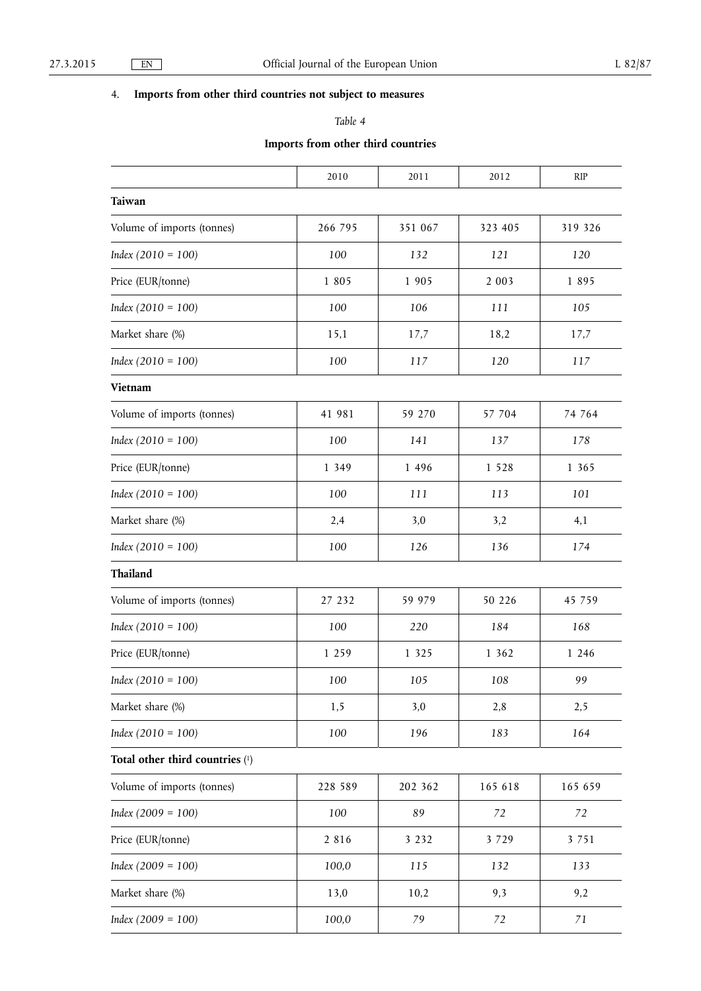# 4. **Imports from other third countries not subject to measures**

# *Table 4*

## **Imports from other third countries**

|                                   | 2010    | 2011    | 2012    | <b>RIP</b> |
|-----------------------------------|---------|---------|---------|------------|
| Taiwan                            |         |         |         |            |
| Volume of imports (tonnes)        | 266 795 | 351 067 | 323 405 | 319 326    |
| $Index (2010 = 100)$              | 100     | 132     | 121     | 120        |
| Price (EUR/tonne)                 | 1 8 0 5 | 1 9 0 5 | 2 0 0 3 | 1895       |
| $Index (2010 = 100)$              | 100     | 106     | 111     | 105        |
| Market share (%)                  | 15,1    | 17,7    | 18,2    | 17,7       |
| $Index (2010 = 100)$              | 100     | 117     | 120     | 117        |
| Vietnam                           |         |         |         |            |
| Volume of imports (tonnes)        | 41 981  | 59 270  | 57 704  | 74 764     |
| $Index (2010 = 100)$              | 100     | 141     | 137     | 178        |
| Price (EUR/tonne)                 | 1 3 4 9 | 1 4 9 6 | 1 5 2 8 | 1 3 6 5    |
| $Index (2010 = 100)$              | 100     | 111     | 113     | 101        |
| Market share (%)                  | 2,4     | 3,0     | 3,2     | 4,1        |
| $Index (2010 = 100)$              | 100     | 126     | 136     | 174        |
| Thailand                          |         |         |         |            |
| Volume of imports (tonnes)        | 27 232  | 59 979  | 50 226  | 45 759     |
| $Index (2010 = 100)$              | 100     | 220     | 184     | 168        |
| Price (EUR/tonne)                 | 1 2 5 9 | 1 3 2 5 | 1 3 6 2 | 1 2 4 6    |
| $Index (2010 = 100)$              | 100     | 105     | 108     | 99         |
| Market share (%)                  | 1,5     | 3,0     | 2,8     | 2,5        |
| $Index (2010 = 100)$              | 100     | 196     | 183     | 164        |
| Total other third countries $(1)$ |         |         |         |            |
| Volume of imports (tonnes)        | 228 589 | 202 362 | 165 618 | 165 659    |
| $Index (2009 = 100)$              | 100     | 89      | 72      | 72         |
| Price (EUR/tonne)                 | 2 8 1 6 | 3 2 3 2 | 3 7 2 9 | 3 7 5 1    |
| $Index (2009 = 100)$              | 100,0   | 115     | 132     | 133        |
| Market share (%)                  | 13,0    | 10,2    | 9,3     | 9,2        |
| $Index (2009 = 100)$              | 100,0   | 79      | 72      | 71         |
|                                   |         |         |         |            |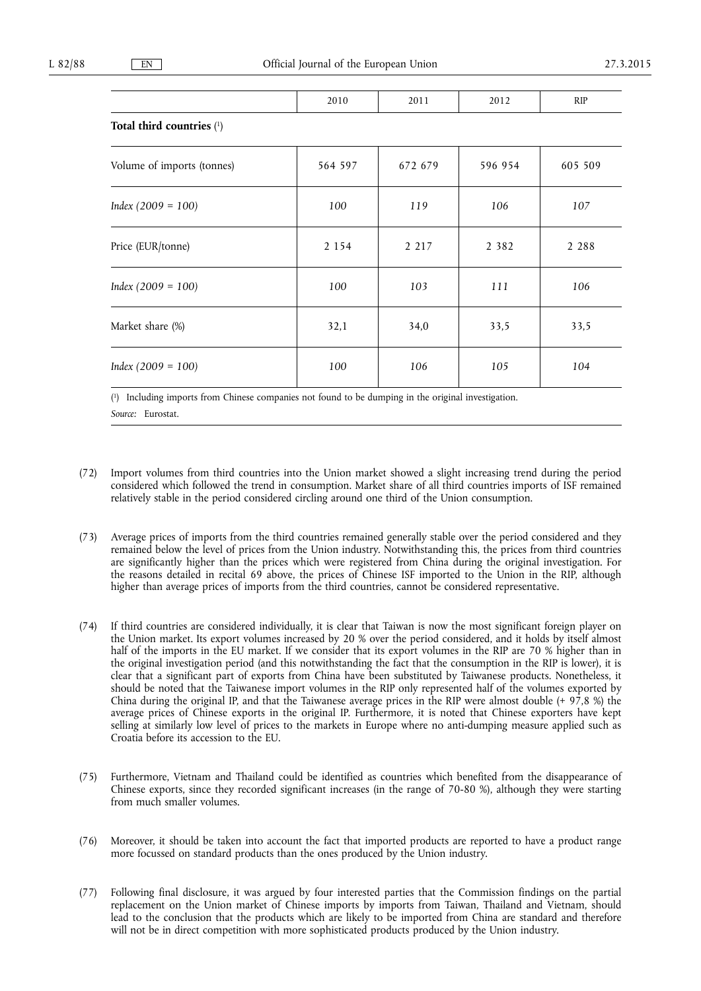|                            | 2010    | 2011    | 2012    | RIP     |
|----------------------------|---------|---------|---------|---------|
| Total third countries (1)  |         |         |         |         |
| Volume of imports (tonnes) | 564 597 | 672 679 | 596 954 | 605 509 |
| $Index (2009 = 100)$       | 100     | 119     | 106     | 107     |
| Price (EUR/tonne)          | 2 1 5 4 | 2 2 1 7 | 2 3 8 2 | 2 2 8 8 |
| $Index (2009 = 100)$       | 100     | 103     | 111     | 106     |
| Market share (%)           | 32,1    | 34,0    | 33,5    | 33,5    |
| $Index (2009 = 100)$       | 100     | 106     | 105     | 104     |

( 1) Including imports from Chinese companies not found to be dumping in the original investigation.

*Source:* Eurostat.

- (72) Import volumes from third countries into the Union market showed a slight increasing trend during the period considered which followed the trend in consumption. Market share of all third countries imports of ISF remained relatively stable in the period considered circling around one third of the Union consumption.
- (73) Average prices of imports from the third countries remained generally stable over the period considered and they remained below the level of prices from the Union industry. Notwithstanding this, the prices from third countries are significantly higher than the prices which were registered from China during the original investigation. For the reasons detailed in recital 69 above, the prices of Chinese ISF imported to the Union in the RIP, although higher than average prices of imports from the third countries, cannot be considered representative.
- (74) If third countries are considered individually, it is clear that Taiwan is now the most significant foreign player on the Union market. Its export volumes increased by 20 % over the period considered, and it holds by itself almost half of the imports in the EU market. If we consider that its export volumes in the RIP are 70 % higher than in the original investigation period (and this notwithstanding the fact that the consumption in the RIP is lower), it is clear that a significant part of exports from China have been substituted by Taiwanese products. Nonetheless, it should be noted that the Taiwanese import volumes in the RIP only represented half of the volumes exported by China during the original IP, and that the Taiwanese average prices in the RIP were almost double (+  $97,8$  %) the average prices of Chinese exports in the original IP. Furthermore, it is noted that Chinese exporters have kept selling at similarly low level of prices to the markets in Europe where no anti-dumping measure applied such as Croatia before its accession to the EU.
- (75) Furthermore, Vietnam and Thailand could be identified as countries which benefited from the disappearance of Chinese exports, since they recorded significant increases (in the range of 70-80 %), although they were starting from much smaller volumes.
- (76) Moreover, it should be taken into account the fact that imported products are reported to have a product range more focussed on standard products than the ones produced by the Union industry.
- (77) Following final disclosure, it was argued by four interested parties that the Commission findings on the partial replacement on the Union market of Chinese imports by imports from Taiwan, Thailand and Vietnam, should lead to the conclusion that the products which are likely to be imported from China are standard and therefore will not be in direct competition with more sophisticated products produced by the Union industry.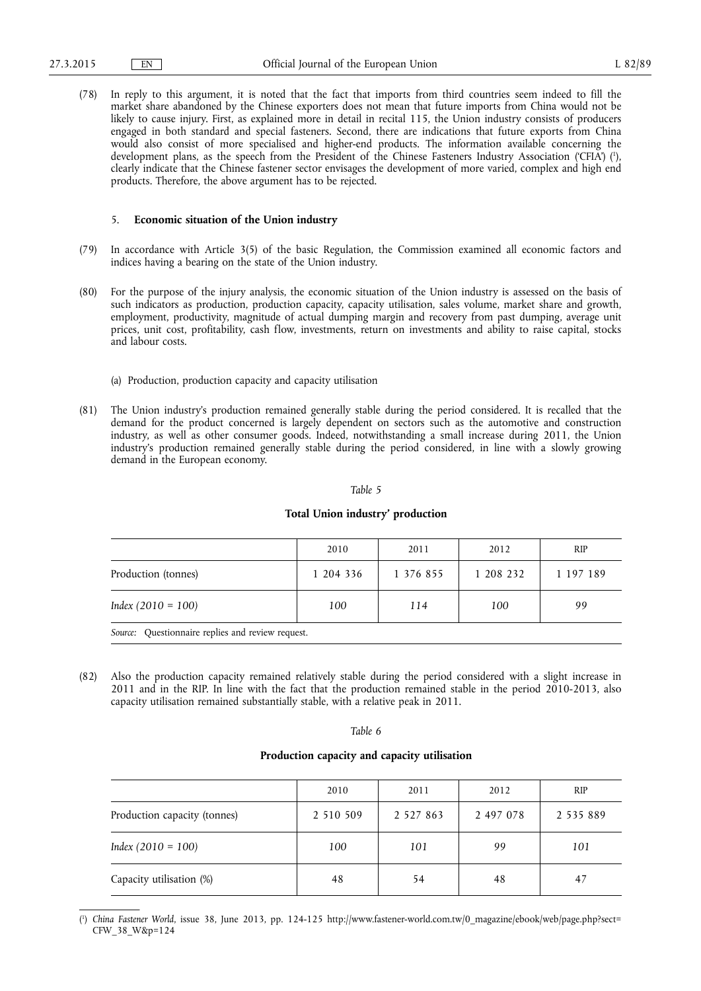(78) In reply to this argument, it is noted that the fact that imports from third countries seem indeed to fill the market share abandoned by the Chinese exporters does not mean that future imports from China would not be likely to cause injury. First, as explained more in detail in recital 115, the Union industry consists of producers engaged in both standard and special fasteners. Second, there are indications that future exports from China would also consist of more specialised and higher-end products. The information available concerning the development plans, as the speech from the President of the Chinese Fasteners Industry Association ('CFIA') ( 1 ), clearly indicate that the Chinese fastener sector envisages the development of more varied, complex and high end products. Therefore, the above argument has to be rejected.

## 5. **Economic situation of the Union industry**

- (79) In accordance with Article 3(5) of the basic Regulation, the Commission examined all economic factors and indices having a bearing on the state of the Union industry.
- (80) For the purpose of the injury analysis, the economic situation of the Union industry is assessed on the basis of such indicators as production, production capacity, capacity utilisation, sales volume, market share and growth, employment, productivity, magnitude of actual dumping margin and recovery from past dumping, average unit prices, unit cost, profitability, cash flow, investments, return on investments and ability to raise capital, stocks and labour costs.
	- (a) Production, production capacity and capacity utilisation
- (81) The Union industry's production remained generally stable during the period considered. It is recalled that the demand for the product concerned is largely dependent on sectors such as the automotive and construction industry, as well as other consumer goods. Indeed, notwithstanding a small increase during 2011, the Union industry's production remained generally stable during the period considered, in line with a slowly growing demand in the European economy.

#### *Table 5*

#### **Total Union industry' production**

|                                                  | 2010      | 2011      | 2012      | <b>RIP</b> |  |
|--------------------------------------------------|-----------|-----------|-----------|------------|--|
| Production (tonnes)                              | 1 204 336 | 1 376 855 | 1 208 232 | 1 197 189  |  |
| $Index (2010 = 100)$                             | 100       | 114       | 100       | 99         |  |
| Source: Questionnaire replies and review request |           |           |           |            |  |

*Source:* Questionnaire replies and review request.

(82) Also the production capacity remained relatively stable during the period considered with a slight increase in 2011 and in the RIP. In line with the fact that the production remained stable in the period 2010-2013, also capacity utilisation remained substantially stable, with a relative peak in 2011.

#### *Table 6*

## **Production capacity and capacity utilisation**

|                              | 2010      | 2011          | 2012      | <b>RIP</b> |
|------------------------------|-----------|---------------|-----------|------------|
| Production capacity (tonnes) | 2 510 509 | 2 5 2 7 8 6 3 | 2 497 078 | 2 535 889  |
| $Index (2010 = 100)$         | 100       | 101           | 99        | 101        |
| Capacity utilisation (%)     | 48        | 54            | 48        | 47         |

<sup>(</sup> 1 ) *China Fastener World*, issue 38, June 2013, pp. 124-125 [http://www.fastener-world.com.tw/0\\_magazine/ebook/web/page.php?sect=](http://www.fastener-world.com.tw/0_magazine/ebook/web/page.php?sect=CFW_38_W&p=124)  [CFW\\_38\\_W&p=124](http://www.fastener-world.com.tw/0_magazine/ebook/web/page.php?sect=CFW_38_W&p=124)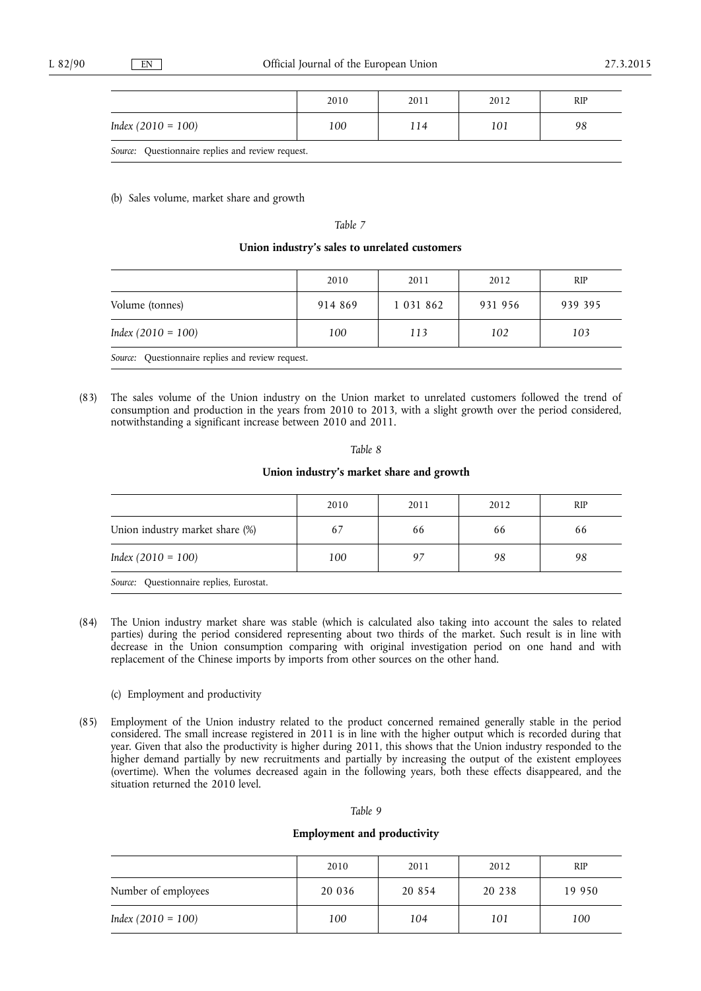|                                                   | 2010 | 2011 | 2012 | RIP |
|---------------------------------------------------|------|------|------|-----|
| Index $(2010 = 100)$                              | 100  | 114  | 101  | 98  |
| Source: Questionnaire replies and review request. |      |      |      |     |

(b) Sales volume, market share and growth

## *Table 7*

## **Union industry's sales to unrelated customers**

|                                                   | 2010    | 2011          | 2012    | <b>RIP</b> |
|---------------------------------------------------|---------|---------------|---------|------------|
| Volume (tonnes)                                   | 914 869 | 1 0 3 1 8 6 2 | 931 956 | 939 395    |
| $Index (2010 = 100)$                              | 100     | 113           | 102     | 103        |
| Source: Questionnaire replies and review request. |         |               |         |            |

(83) The sales volume of the Union industry on the Union market to unrelated customers followed the trend of consumption and production in the years from 2010 to 2013, with a slight growth over the period considered, notwithstanding a significant increase between 2010 and 2011.

#### *Table 8*

## **Union industry's market share and growth**

|                                          | 2010 | 2011 | 2012 | <b>RIP</b> |
|------------------------------------------|------|------|------|------------|
| Union industry market share (%)          | 67   | 66   | 66   | 66         |
| $Index (2010 = 100)$                     | 100  | 97   | 98   | 98         |
| Source: Questionnaire replies, Eurostat. |      |      |      |            |

(84) The Union industry market share was stable (which is calculated also taking into account the sales to related parties) during the period considered representing about two thirds of the market. Such result is in line with decrease in the Union consumption comparing with original investigation period on one hand and with replacement of the Chinese imports by imports from other sources on the other hand.

## (c) Employment and productivity

(85) Employment of the Union industry related to the product concerned remained generally stable in the period considered. The small increase registered in 2011 is in line with the higher output which is recorded during that year. Given that also the productivity is higher during 2011, this shows that the Union industry responded to the higher demand partially by new recruitments and partially by increasing the output of the existent employees (overtime). When the volumes decreased again in the following years, both these effects disappeared, and the situation returned the 2010 level.

#### *Table 9*

## **Employment and productivity**

|                      | 2010   | 2011     | 2012   | <b>RIP</b> |
|----------------------|--------|----------|--------|------------|
| Number of employees  | 20 036 | 20 8 5 4 | 20 238 | 19 950     |
| $Index (2010 = 100)$ | 100    | 104      | 101    | 100        |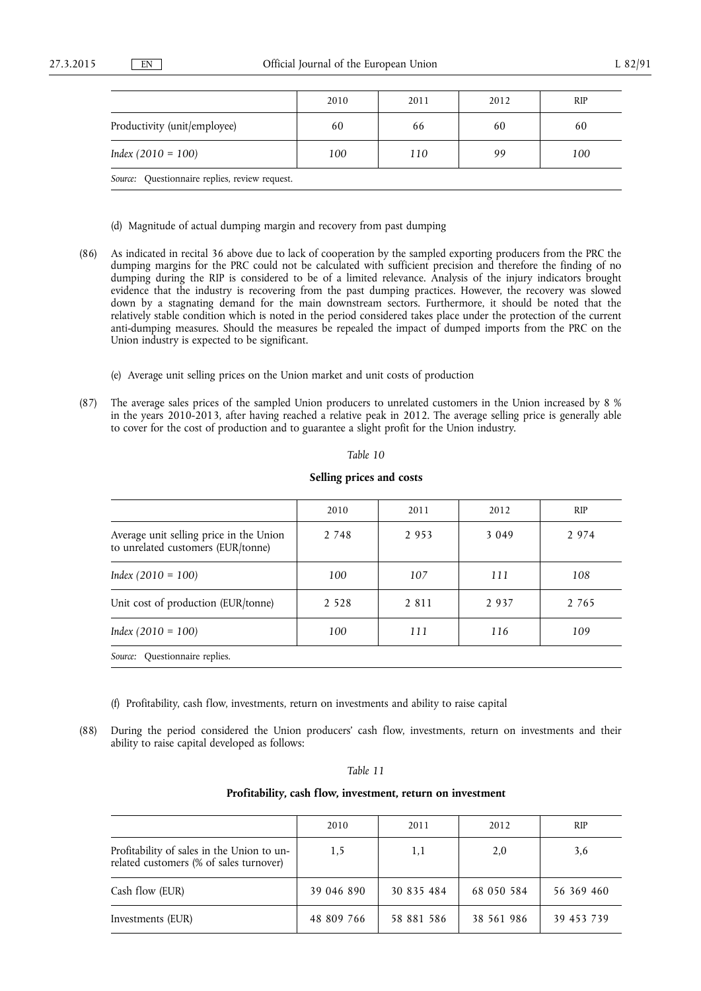|                                                | 2010 | 2011 | 2012 | <b>RIP</b> |
|------------------------------------------------|------|------|------|------------|
| Productivity (unit/employee)                   | 60   | 66   | 60   | 60         |
| $Index (2010 = 100)$                           | 100  | 110  | 99   | 100        |
| Source: Questionnaire replies, review request. |      |      |      |            |

(d) Magnitude of actual dumping margin and recovery from past dumping

- (86) As indicated in recital 36 above due to lack of cooperation by the sampled exporting producers from the PRC the dumping margins for the PRC could not be calculated with sufficient precision and therefore the finding of no dumping during the RIP is considered to be of a limited relevance. Analysis of the injury indicators brought evidence that the industry is recovering from the past dumping practices. However, the recovery was slowed down by a stagnating demand for the main downstream sectors. Furthermore, it should be noted that the relatively stable condition which is noted in the period considered takes place under the protection of the current anti-dumping measures. Should the measures be repealed the impact of dumped imports from the PRC on the Union industry is expected to be significant.
	- (e) Average unit selling prices on the Union market and unit costs of production
- (87) The average sales prices of the sampled Union producers to unrelated customers in the Union increased by 8 % in the years 2010-2013, after having reached a relative peak in 2012. The average selling price is generally able to cover for the cost of production and to guarantee a slight profit for the Union industry.

#### *Table 10*

#### **Selling prices and costs**

|                                                                               | 2010    | 2011    | 2012    | <b>RIP</b> |
|-------------------------------------------------------------------------------|---------|---------|---------|------------|
| Average unit selling price in the Union<br>to unrelated customers (EUR/tonne) | 2 7 4 8 | 2953    | 3 0 4 9 | 2 9 7 4    |
| Index $(2010 = 100)$                                                          | 100     | 107     | 111     | 108        |
| Unit cost of production (EUR/tonne)                                           | 2 5 2 8 | 2 8 1 1 | 2937    | 2 7 6 5    |
| Index $(2010 = 100)$                                                          | 100     | 111     | 116     | 109        |
| Questionnaire replies.<br>Source:                                             |         |         |         |            |

- (f) Profitability, cash flow, investments, return on investments and ability to raise capital
- (88) During the period considered the Union producers' cash flow, investments, return on investments and their ability to raise capital developed as follows:

#### *Table 11*

## **Profitability, cash flow, investment, return on investment**

|                                                                                       | 2010       | 2011       | 2012       | <b>RIP</b> |
|---------------------------------------------------------------------------------------|------------|------------|------------|------------|
| Profitability of sales in the Union to un-<br>related customers (% of sales turnover) | 1,5        | 1,1        | 2,0        | 3,6        |
| Cash flow (EUR)                                                                       | 39 046 890 | 30 835 484 | 68 050 584 | 56 369 460 |
| Investments (EUR)                                                                     | 48 809 766 | 58 881 586 | 38 561 986 | 39 453 739 |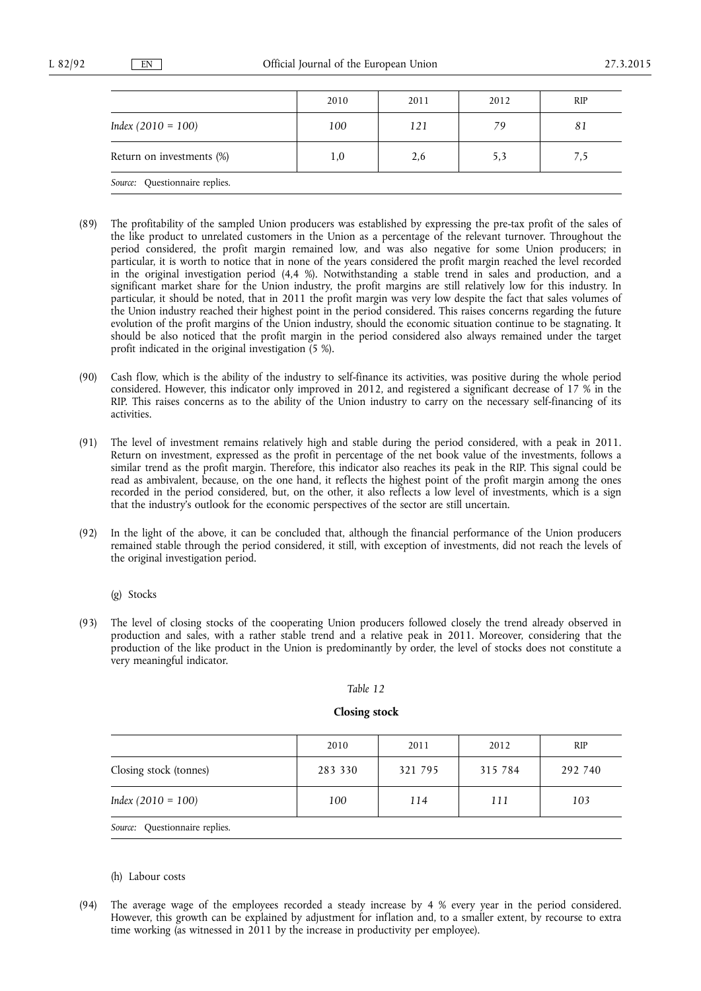|                                | 2010 | 2011 | 2012 | <b>RIP</b> |
|--------------------------------|------|------|------|------------|
| $Index (2010 = 100)$           | 100  | 121  | 79   | 81         |
| Return on investments (%)      | 1,0  | 2,6  | 5,3  | 7,5        |
| Source: Questionnaire replies. |      |      |      |            |

- (89) The profitability of the sampled Union producers was established by expressing the pre-tax profit of the sales of the like product to unrelated customers in the Union as a percentage of the relevant turnover. Throughout the period considered, the profit margin remained low, and was also negative for some Union producers; in particular, it is worth to notice that in none of the years considered the profit margin reached the level recorded in the original investigation period (4,4 %). Notwithstanding a stable trend in sales and production, and a significant market share for the Union industry, the profit margins are still relatively low for this industry. In particular, it should be noted, that in 2011 the profit margin was very low despite the fact that sales volumes of the Union industry reached their highest point in the period considered. This raises concerns regarding the future evolution of the profit margins of the Union industry, should the economic situation continue to be stagnating. It should be also noticed that the profit margin in the period considered also always remained under the target profit indicated in the original investigation (5 %).
- (90) Cash flow, which is the ability of the industry to self-finance its activities, was positive during the whole period considered. However, this indicator only improved in 2012, and registered a significant decrease of 17 % in the RIP. This raises concerns as to the ability of the Union industry to carry on the necessary self-financing of its activities.
- (91) The level of investment remains relatively high and stable during the period considered, with a peak in 2011. Return on investment, expressed as the profit in percentage of the net book value of the investments, follows a similar trend as the profit margin. Therefore, this indicator also reaches its peak in the RIP. This signal could be read as ambivalent, because, on the one hand, it reflects the highest point of the profit margin among the ones recorded in the period considered, but, on the other, it also reflects a low level of investments, which is a sign that the industry's outlook for the economic perspectives of the sector are still uncertain.
- (92) In the light of the above, it can be concluded that, although the financial performance of the Union producers remained stable through the period considered, it still, with exception of investments, did not reach the levels of the original investigation period.
	- (g) Stocks
- (93) The level of closing stocks of the cooperating Union producers followed closely the trend already observed in production and sales, with a rather stable trend and a relative peak in 2011. Moreover, considering that the production of the like product in the Union is predominantly by order, the level of stocks does not constitute a very meaningful indicator.

#### *Table 12*

#### **Closing stock**

|                        | 2010    | 2011    | 2012    | <b>RIP</b> |
|------------------------|---------|---------|---------|------------|
| Closing stock (tonnes) | 283 330 | 321 795 | 315 784 | 292 740    |
| $Index (2010 = 100)$   | 100     | 114     | 111     | 103        |

**Source:** Ouestionnaire replies.

#### (h) Labour costs

(94) The average wage of the employees recorded a steady increase by 4 % every year in the period considered. However, this growth can be explained by adjustment for inflation and, to a smaller extent, by recourse to extra time working (as witnessed in 2011 by the increase in productivity per employee).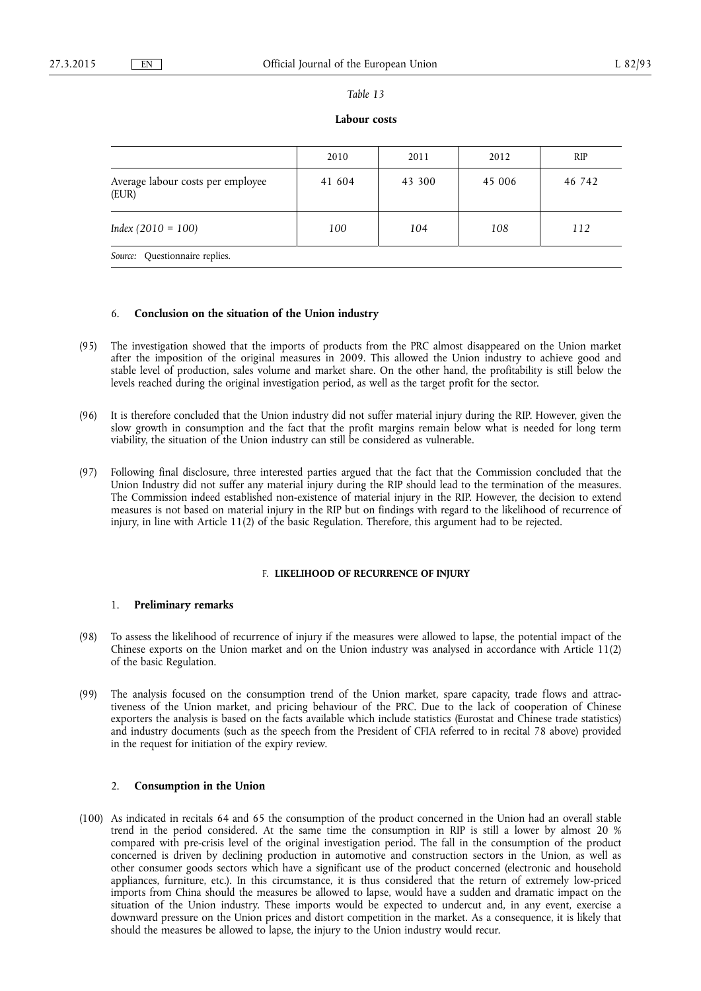#### *Table 13*

## **Labour costs**

|                                            | 2010   | 2011   | 2012   | <b>RIP</b> |
|--------------------------------------------|--------|--------|--------|------------|
| Average labour costs per employee<br>(EUR) | 41 604 | 43 300 | 45 006 | 46 742     |
| $Index (2010 = 100)$                       | 100    | 104    | 108    | 112        |
| Source: Questionnaire replies.             |        |        |        |            |

### 6. **Conclusion on the situation of the Union industry**

- (95) The investigation showed that the imports of products from the PRC almost disappeared on the Union market after the imposition of the original measures in 2009. This allowed the Union industry to achieve good and stable level of production, sales volume and market share. On the other hand, the profitability is still below the levels reached during the original investigation period, as well as the target profit for the sector.
- (96) It is therefore concluded that the Union industry did not suffer material injury during the RIP. However, given the slow growth in consumption and the fact that the profit margins remain below what is needed for long term viability, the situation of the Union industry can still be considered as vulnerable.
- (97) Following final disclosure, three interested parties argued that the fact that the Commission concluded that the Union Industry did not suffer any material injury during the RIP should lead to the termination of the measures. The Commission indeed established non-existence of material injury in the RIP. However, the decision to extend measures is not based on material injury in the RIP but on findings with regard to the likelihood of recurrence of injury, in line with Article 11(2) of the basic Regulation. Therefore, this argument had to be rejected.

## F. **LIKELIHOOD OF RECURRENCE OF INJURY**

## 1. **Preliminary remarks**

- (98) To assess the likelihood of recurrence of injury if the measures were allowed to lapse, the potential impact of the Chinese exports on the Union market and on the Union industry was analysed in accordance with Article 11(2) of the basic Regulation.
- (99) The analysis focused on the consumption trend of the Union market, spare capacity, trade flows and attractiveness of the Union market, and pricing behaviour of the PRC. Due to the lack of cooperation of Chinese exporters the analysis is based on the facts available which include statistics (Eurostat and Chinese trade statistics) and industry documents (such as the speech from the President of CFIA referred to in recital 78 above) provided in the request for initiation of the expiry review.

## 2. **Consumption in the Union**

(100) As indicated in recitals 64 and 65 the consumption of the product concerned in the Union had an overall stable trend in the period considered. At the same time the consumption in RIP is still a lower by almost 20 % compared with pre-crisis level of the original investigation period. The fall in the consumption of the product concerned is driven by declining production in automotive and construction sectors in the Union, as well as other consumer goods sectors which have a significant use of the product concerned (electronic and household appliances, furniture, etc.). In this circumstance, it is thus considered that the return of extremely low-priced imports from China should the measures be allowed to lapse, would have a sudden and dramatic impact on the situation of the Union industry. These imports would be expected to undercut and, in any event, exercise a downward pressure on the Union prices and distort competition in the market. As a consequence, it is likely that should the measures be allowed to lapse, the injury to the Union industry would recur.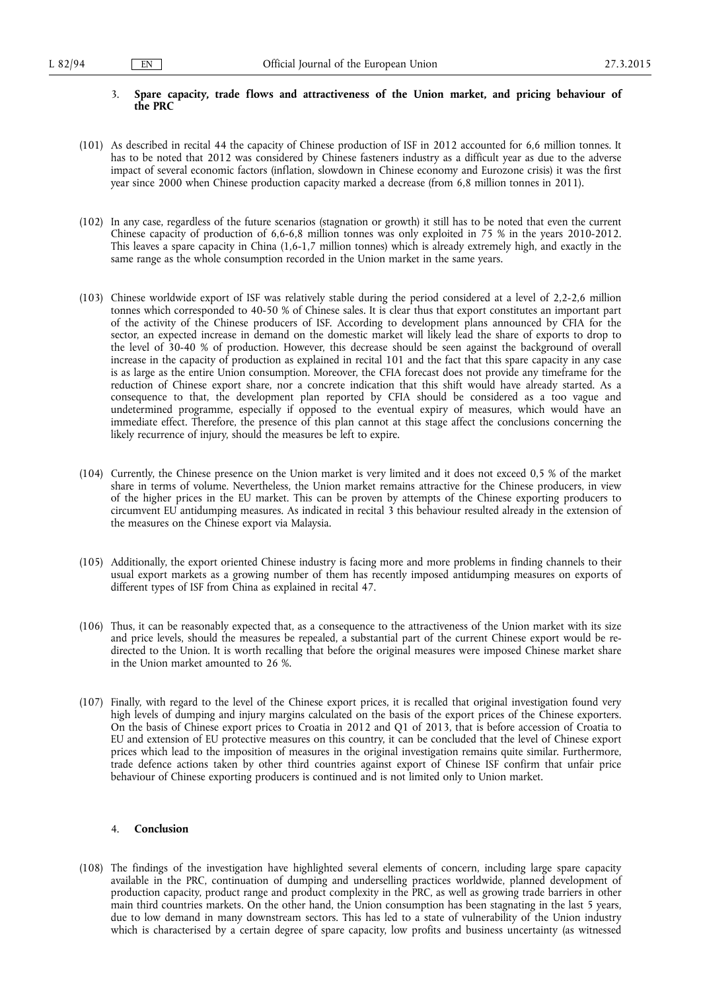## 3. **Spare capacity, trade flows and attractiveness of the Union market, and pricing behaviour of the PRC**

- (101) As described in recital 44 the capacity of Chinese production of ISF in 2012 accounted for 6,6 million tonnes. It has to be noted that 2012 was considered by Chinese fasteners industry as a difficult year as due to the adverse impact of several economic factors (inflation, slowdown in Chinese economy and Eurozone crisis) it was the first year since 2000 when Chinese production capacity marked a decrease (from 6,8 million tonnes in 2011).
- (102) In any case, regardless of the future scenarios (stagnation or growth) it still has to be noted that even the current Chinese capacity of production of 6,6-6,8 million tonnes was only exploited in 75 % in the years 2010-2012. This leaves a spare capacity in China (1,6-1,7 million tonnes) which is already extremely high, and exactly in the same range as the whole consumption recorded in the Union market in the same years.
- (103) Chinese worldwide export of ISF was relatively stable during the period considered at a level of 2,2-2,6 million tonnes which corresponded to 40-50 % of Chinese sales. It is clear thus that export constitutes an important part of the activity of the Chinese producers of ISF. According to development plans announced by CFIA for the sector, an expected increase in demand on the domestic market will likely lead the share of exports to drop to the level of 30-40 % of production. However, this decrease should be seen against the background of overall increase in the capacity of production as explained in recital 101 and the fact that this spare capacity in any case is as large as the entire Union consumption. Moreover, the CFIA forecast does not provide any timeframe for the reduction of Chinese export share, nor a concrete indication that this shift would have already started. As a consequence to that, the development plan reported by CFIA should be considered as a too vague and undetermined programme, especially if opposed to the eventual expiry of measures, which would have an immediate effect. Therefore, the presence of this plan cannot at this stage affect the conclusions concerning the likely recurrence of injury, should the measures be left to expire.
- (104) Currently, the Chinese presence on the Union market is very limited and it does not exceed 0,5 % of the market share in terms of volume. Nevertheless, the Union market remains attractive for the Chinese producers, in view of the higher prices in the EU market. This can be proven by attempts of the Chinese exporting producers to circumvent EU antidumping measures. As indicated in recital 3 this behaviour resulted already in the extension of the measures on the Chinese export via Malaysia.
- (105) Additionally, the export oriented Chinese industry is facing more and more problems in finding channels to their usual export markets as a growing number of them has recently imposed antidumping measures on exports of different types of ISF from China as explained in recital 47.
- (106) Thus, it can be reasonably expected that, as a consequence to the attractiveness of the Union market with its size and price levels, should the measures be repealed, a substantial part of the current Chinese export would be redirected to the Union. It is worth recalling that before the original measures were imposed Chinese market share in the Union market amounted to 26 %.
- (107) Finally, with regard to the level of the Chinese export prices, it is recalled that original investigation found very high levels of dumping and injury margins calculated on the basis of the export prices of the Chinese exporters. On the basis of Chinese export prices to Croatia in 2012 and Q1 of 2013, that is before accession of Croatia to EU and extension of EU protective measures on this country, it can be concluded that the level of Chinese export prices which lead to the imposition of measures in the original investigation remains quite similar. Furthermore, trade defence actions taken by other third countries against export of Chinese ISF confirm that unfair price behaviour of Chinese exporting producers is continued and is not limited only to Union market.

## 4. **Conclusion**

(108) The findings of the investigation have highlighted several elements of concern, including large spare capacity available in the PRC, continuation of dumping and underselling practices worldwide, planned development of production capacity, product range and product complexity in the PRC, as well as growing trade barriers in other main third countries markets. On the other hand, the Union consumption has been stagnating in the last 5 years, due to low demand in many downstream sectors. This has led to a state of vulnerability of the Union industry which is characterised by a certain degree of spare capacity, low profits and business uncertainty (as witnessed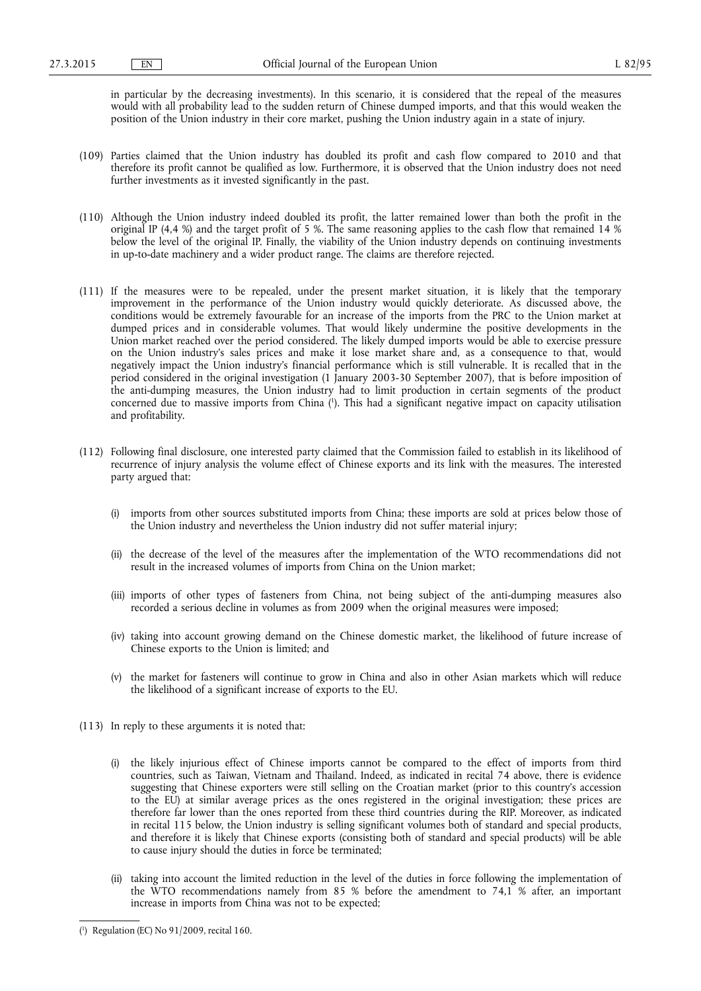in particular by the decreasing investments). In this scenario, it is considered that the repeal of the measures would with all probability lead to the sudden return of Chinese dumped imports, and that this would weaken the position of the Union industry in their core market, pushing the Union industry again in a state of injury.

- (109) Parties claimed that the Union industry has doubled its profit and cash flow compared to 2010 and that therefore its profit cannot be qualified as low. Furthermore, it is observed that the Union industry does not need further investments as it invested significantly in the past.
- (110) Although the Union industry indeed doubled its profit, the latter remained lower than both the profit in the original IP (4,4 %) and the target profit of 5 %. The same reasoning applies to the cash flow that remained 14 % below the level of the original IP. Finally, the viability of the Union industry depends on continuing investments in up-to-date machinery and a wider product range. The claims are therefore rejected.
- (111) If the measures were to be repealed, under the present market situation, it is likely that the temporary improvement in the performance of the Union industry would quickly deteriorate. As discussed above, the conditions would be extremely favourable for an increase of the imports from the PRC to the Union market at dumped prices and in considerable volumes. That would likely undermine the positive developments in the Union market reached over the period considered. The likely dumped imports would be able to exercise pressure on the Union industry's sales prices and make it lose market share and, as a consequence to that, would negatively impact the Union industry's financial performance which is still vulnerable. It is recalled that in the period considered in the original investigation (1 January 2003-30 September 2007), that is before imposition of the anti-dumping measures, the Union industry had to limit production in certain segments of the product concerned due to massive imports from China ( 1 ). This had a significant negative impact on capacity utilisation and profitability.
- (112) Following final disclosure, one interested party claimed that the Commission failed to establish in its likelihood of recurrence of injury analysis the volume effect of Chinese exports and its link with the measures. The interested party argued that:
	- (i) imports from other sources substituted imports from China; these imports are sold at prices below those of the Union industry and nevertheless the Union industry did not suffer material injury;
	- (ii) the decrease of the level of the measures after the implementation of the WTO recommendations did not result in the increased volumes of imports from China on the Union market;
	- (iii) imports of other types of fasteners from China, not being subject of the anti-dumping measures also recorded a serious decline in volumes as from 2009 when the original measures were imposed;
	- (iv) taking into account growing demand on the Chinese domestic market, the likelihood of future increase of Chinese exports to the Union is limited; and
	- (v) the market for fasteners will continue to grow in China and also in other Asian markets which will reduce the likelihood of a significant increase of exports to the EU.
- (113) In reply to these arguments it is noted that:
	- (i) the likely injurious effect of Chinese imports cannot be compared to the effect of imports from third countries, such as Taiwan, Vietnam and Thailand. Indeed, as indicated in recital 74 above, there is evidence suggesting that Chinese exporters were still selling on the Croatian market (prior to this country's accession to the EU) at similar average prices as the ones registered in the original investigation; these prices are therefore far lower than the ones reported from these third countries during the RIP. Moreover, as indicated in recital 115 below, the Union industry is selling significant volumes both of standard and special products, and therefore it is likely that Chinese exports (consisting both of standard and special products) will be able to cause injury should the duties in force be terminated;
	- (ii) taking into account the limited reduction in the level of the duties in force following the implementation of the WTO recommendations namely from 85 % before the amendment to 74,1 % after, an important increase in imports from China was not to be expected;

<sup>(</sup> 1 ) Regulation (EC) No 91/2009, recital 160.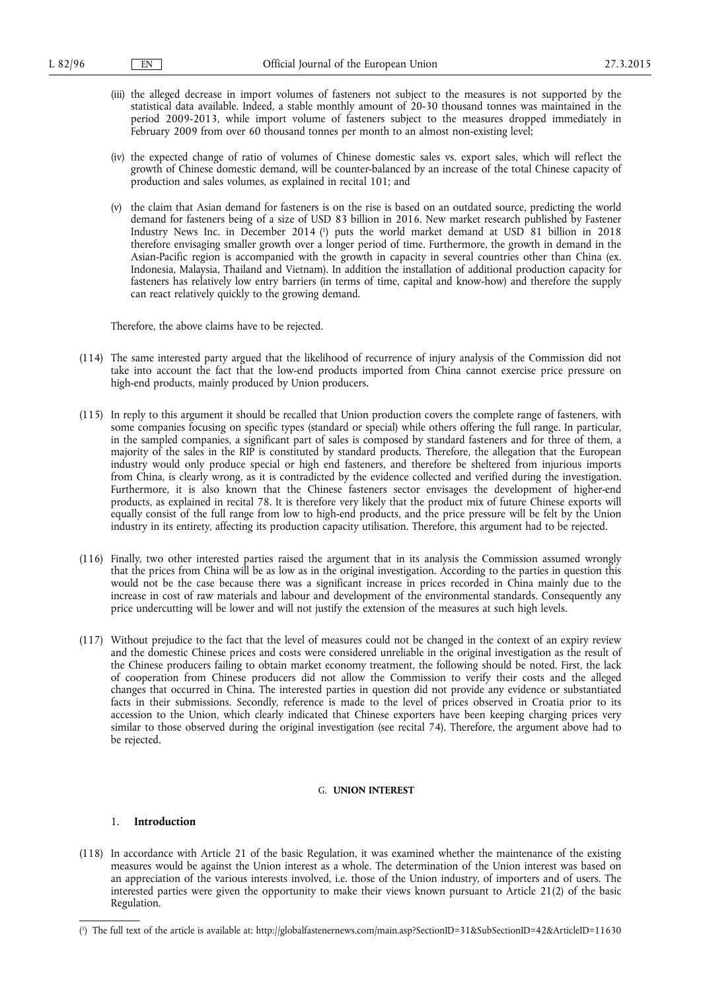- (iii) the alleged decrease in import volumes of fasteners not subject to the measures is not supported by the statistical data available. Indeed, a stable monthly amount of 20-30 thousand tonnes was maintained in the period 2009-2013, while import volume of fasteners subject to the measures dropped immediately in February 2009 from over 60 thousand tonnes per month to an almost non-existing level;
- (iv) the expected change of ratio of volumes of Chinese domestic sales vs. export sales, which will reflect the growth of Chinese domestic demand, will be counter-balanced by an increase of the total Chinese capacity of production and sales volumes, as explained in recital 101; and
- (v) the claim that Asian demand for fasteners is on the rise is based on an outdated source, predicting the world demand for fasteners being of a size of USD 83 billion in 2016. New market research published by Fastener Industry News Inc. in December 2014 ( 1 ) puts the world market demand at USD 81 billion in 2018 therefore envisaging smaller growth over a longer period of time. Furthermore, the growth in demand in the Asian-Pacific region is accompanied with the growth in capacity in several countries other than China (ex. Indonesia, Malaysia, Thailand and Vietnam). In addition the installation of additional production capacity for fasteners has relatively low entry barriers (in terms of time, capital and know-how) and therefore the supply can react relatively quickly to the growing demand.

Therefore, the above claims have to be rejected.

- (114) The same interested party argued that the likelihood of recurrence of injury analysis of the Commission did not take into account the fact that the low-end products imported from China cannot exercise price pressure on high-end products, mainly produced by Union producers.
- (115) In reply to this argument it should be recalled that Union production covers the complete range of fasteners, with some companies focusing on specific types (standard or special) while others offering the full range. In particular, in the sampled companies, a significant part of sales is composed by standard fasteners and for three of them, a majority of the sales in the RIP is constituted by standard products. Therefore, the allegation that the European industry would only produce special or high end fasteners, and therefore be sheltered from injurious imports from China, is clearly wrong, as it is contradicted by the evidence collected and verified during the investigation. Furthermore, it is also known that the Chinese fasteners sector envisages the development of higher-end products, as explained in recital 78. It is therefore very likely that the product mix of future Chinese exports will equally consist of the full range from low to high-end products, and the price pressure will be felt by the Union industry in its entirety, affecting its production capacity utilisation. Therefore, this argument had to be rejected.
- (116) Finally, two other interested parties raised the argument that in its analysis the Commission assumed wrongly that the prices from China will be as low as in the original investigation. According to the parties in question this would not be the case because there was a significant increase in prices recorded in China mainly due to the increase in cost of raw materials and labour and development of the environmental standards. Consequently any price undercutting will be lower and will not justify the extension of the measures at such high levels.
- (117) Without prejudice to the fact that the level of measures could not be changed in the context of an expiry review and the domestic Chinese prices and costs were considered unreliable in the original investigation as the result of the Chinese producers failing to obtain market economy treatment, the following should be noted. First, the lack of cooperation from Chinese producers did not allow the Commission to verify their costs and the alleged changes that occurred in China. The interested parties in question did not provide any evidence or substantiated facts in their submissions. Secondly, reference is made to the level of prices observed in Croatia prior to its accession to the Union, which clearly indicated that Chinese exporters have been keeping charging prices very similar to those observed during the original investigation (see recital 74). Therefore, the argument above had to be rejected.

## G. **UNION INTEREST**

### 1. **Introduction**

(118) In accordance with Article 21 of the basic Regulation, it was examined whether the maintenance of the existing measures would be against the Union interest as a whole. The determination of the Union interest was based on an appreciation of the various interests involved, i.e. those of the Union industry, of importers and of users. The interested parties were given the opportunity to make their views known pursuant to Article 21(2) of the basic Regulation.

<sup>(</sup> 1 ) The full text of the article is available at: <http://globalfastenernews.com/main.asp?SectionID=31&SubSectionID=42&ArticleID=11630>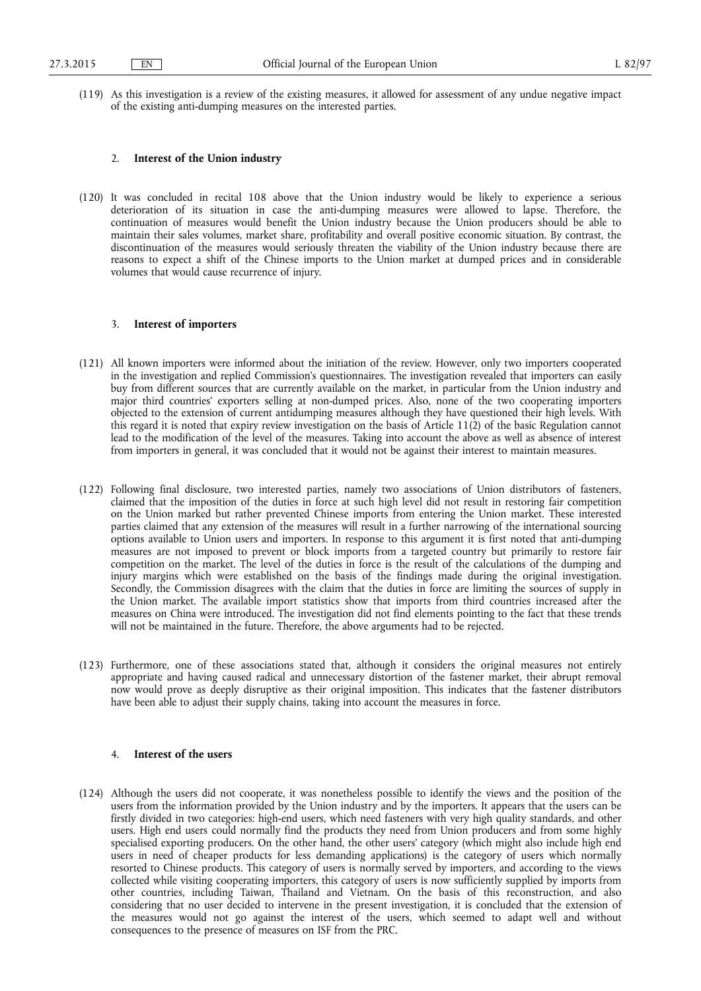(119) As this investigation is a review of the existing measures, it allowed for assessment of any undue negative impact of the existing anti-dumping measures on the interested parties.

#### 2. **Interest of the Union industry**

(120) It was concluded in recital 108 above that the Union industry would be likely to experience a serious deterioration of its situation in case the anti-dumping measures were allowed to lapse. Therefore, the continuation of measures would benefit the Union industry because the Union producers should be able to maintain their sales volumes, market share, profitability and overall positive economic situation. By contrast, the discontinuation of the measures would seriously threaten the viability of the Union industry because there are reasons to expect a shift of the Chinese imports to the Union market at dumped prices and in considerable volumes that would cause recurrence of injury.

## 3. **Interest of importers**

- (121) All known importers were informed about the initiation of the review. However, only two importers cooperated in the investigation and replied Commission's questionnaires. The investigation revealed that importers can easily buy from different sources that are currently available on the market, in particular from the Union industry and major third countries' exporters selling at non-dumped prices. Also, none of the two cooperating importers objected to the extension of current antidumping measures although they have questioned their high levels. With this regard it is noted that expiry review investigation on the basis of Article 11(2) of the basic Regulation cannot lead to the modification of the level of the measures. Taking into account the above as well as absence of interest from importers in general, it was concluded that it would not be against their interest to maintain measures.
- (122) Following final disclosure, two interested parties, namely two associations of Union distributors of fasteners, claimed that the imposition of the duties in force at such high level did not result in restoring fair competition on the Union marked but rather prevented Chinese imports from entering the Union market. These interested parties claimed that any extension of the measures will result in a further narrowing of the international sourcing options available to Union users and importers. In response to this argument it is first noted that anti-dumping measures are not imposed to prevent or block imports from a targeted country but primarily to restore fair competition on the market. The level of the duties in force is the result of the calculations of the dumping and injury margins which were established on the basis of the findings made during the original investigation. Secondly, the Commission disagrees with the claim that the duties in force are limiting the sources of supply in the Union market. The available import statistics show that imports from third countries increased after the measures on China were introduced. The investigation did not find elements pointing to the fact that these trends will not be maintained in the future. Therefore, the above arguments had to be rejected.
- (123) Furthermore, one of these associations stated that, although it considers the original measures not entirely appropriate and having caused radical and unnecessary distortion of the fastener market, their abrupt removal now would prove as deeply disruptive as their original imposition. This indicates that the fastener distributors have been able to adjust their supply chains, taking into account the measures in force.

## 4. **Interest of the users**

(124) Although the users did not cooperate, it was nonetheless possible to identify the views and the position of the users from the information provided by the Union industry and by the importers. It appears that the users can be firstly divided in two categories: high-end users, which need fasteners with very high quality standards, and other users. High end users could normally find the products they need from Union producers and from some highly specialised exporting producers. On the other hand, the other users' category (which might also include high end users in need of cheaper products for less demanding applications) is the category of users which normally resorted to Chinese products. This category of users is normally served by importers, and according to the views collected while visiting cooperating importers, this category of users is now sufficiently supplied by imports from other countries, including Taiwan, Thailand and Vietnam. On the basis of this reconstruction, and also considering that no user decided to intervene in the present investigation, it is concluded that the extension of the measures would not go against the interest of the users, which seemed to adapt well and without consequences to the presence of measures on ISF from the PRC.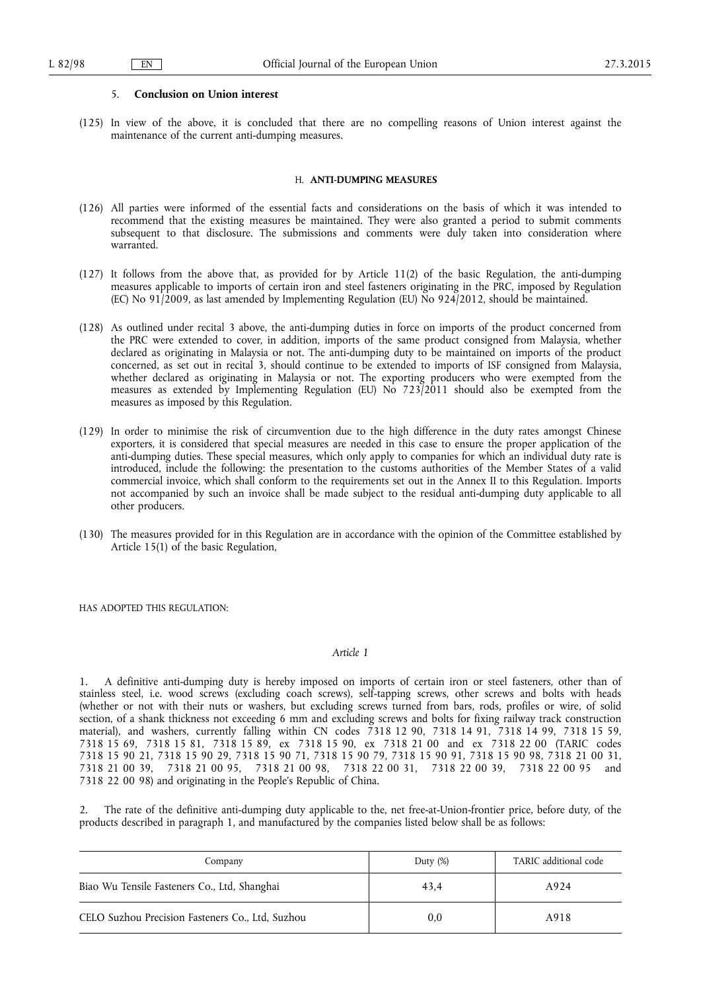#### 5. **Conclusion on Union interest**

(125) In view of the above, it is concluded that there are no compelling reasons of Union interest against the maintenance of the current anti-dumping measures.

#### H. **ANTI-DUMPING MEASURES**

- (126) All parties were informed of the essential facts and considerations on the basis of which it was intended to recommend that the existing measures be maintained. They were also granted a period to submit comments subsequent to that disclosure. The submissions and comments were duly taken into consideration where warranted.
- (127) It follows from the above that, as provided for by Article 11(2) of the basic Regulation, the anti-dumping measures applicable to imports of certain iron and steel fasteners originating in the PRC, imposed by Regulation (EC) No 91/2009, as last amended by Implementing Regulation (EU) No 924/2012, should be maintained.
- (128) As outlined under recital 3 above, the anti-dumping duties in force on imports of the product concerned from the PRC were extended to cover, in addition, imports of the same product consigned from Malaysia, whether declared as originating in Malaysia or not. The anti-dumping duty to be maintained on imports of the product concerned, as set out in recital 3, should continue to be extended to imports of ISF consigned from Malaysia, whether declared as originating in Malaysia or not. The exporting producers who were exempted from the measures as extended by Implementing Regulation (EU) No 723/2011 should also be exempted from the measures as imposed by this Regulation.
- (129) In order to minimise the risk of circumvention due to the high difference in the duty rates amongst Chinese exporters, it is considered that special measures are needed in this case to ensure the proper application of the anti-dumping duties. These special measures, which only apply to companies for which an individual duty rate is introduced, include the following: the presentation to the customs authorities of the Member States of a valid commercial invoice, which shall conform to the requirements set out in the Annex II to this Regulation. Imports not accompanied by such an invoice shall be made subject to the residual anti-dumping duty applicable to all other producers.
- (130) The measures provided for in this Regulation are in accordance with the opinion of the Committee established by Article 15(1) of the basic Regulation,

HAS ADOPTED THIS REGULATION:

#### *Article 1*

1. A definitive anti-dumping duty is hereby imposed on imports of certain iron or steel fasteners, other than of stainless steel, i.e. wood screws (excluding coach screws), self-tapping screws, other screws and bolts with heads (whether or not with their nuts or washers, but excluding screws turned from bars, rods, profiles or wire, of solid section, of a shank thickness not exceeding 6 mm and excluding screws and bolts for fixing railway track construction material), and washers, currently falling within CN codes 7318 12 90, 7318 14 91, 7318 14 99, 7318 15 59, 7318 15 69, 7318 15 81, 7318 15 89, ex 7318 15 90, ex 7318 21 00 and ex 7318 22 00 (TARIC codes 7318 15 90 21, 7318 15 90 29, 7318 15 90 71, 7318 15 90 79, 7318 15 90 91, 7318 15 90 98, 7318 21 00 31, 7318 21 00 39, 7318 21 00 95, 7318 21 00 98, 7318 22 00 31, 7318 22 00 39, 7318 22 00 95 and 7318 22 00 98) and originating in the People's Republic of China.

2. The rate of the definitive anti-dumping duty applicable to the, net free-at-Union-frontier price, before duty, of the products described in paragraph 1, and manufactured by the companies listed below shall be as follows:

| Company                                          | Duty $(\%)$ | TARIC additional code |
|--------------------------------------------------|-------------|-----------------------|
| Biao Wu Tensile Fasteners Co., Ltd, Shanghai     | 43.4        | A924                  |
| CELO Suzhou Precision Fasteners Co., Ltd, Suzhou | 0,0         | A918                  |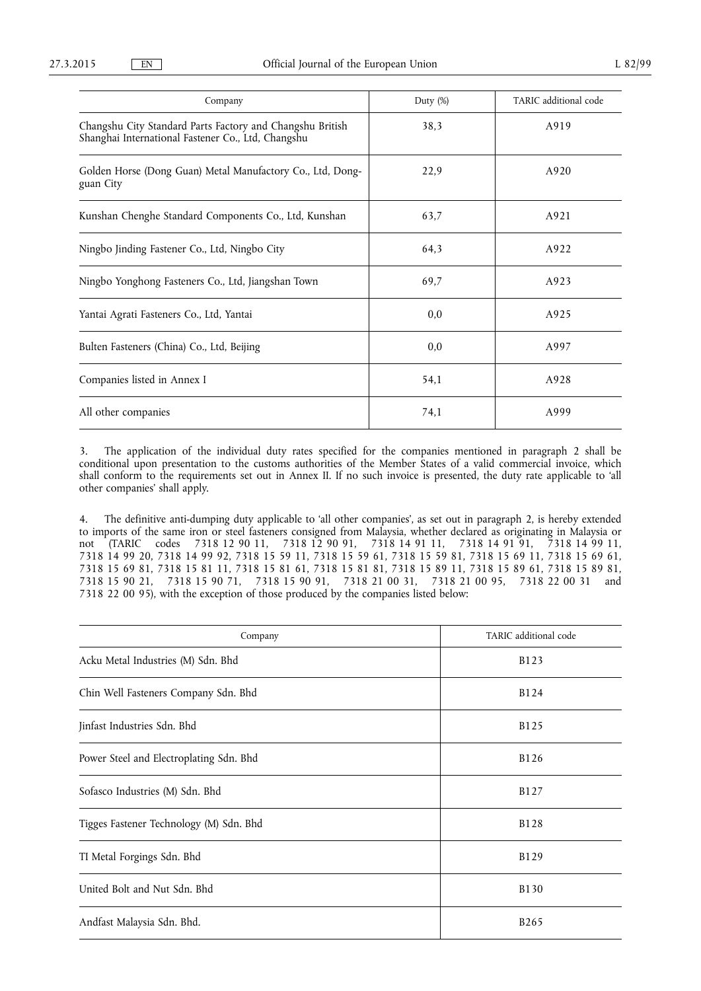| Company                                                                                                         | Duty (%) | TARIC additional code |
|-----------------------------------------------------------------------------------------------------------------|----------|-----------------------|
| Changshu City Standard Parts Factory and Changshu British<br>Shanghai International Fastener Co., Ltd, Changshu | 38,3     | A919                  |
| Golden Horse (Dong Guan) Metal Manufactory Co., Ltd, Dong-<br>guan City                                         | 22,9     | A920                  |
| Kunshan Chenghe Standard Components Co., Ltd, Kunshan                                                           | 63,7     | A921                  |
| Ningbo Jinding Fastener Co., Ltd, Ningbo City                                                                   | 64,3     | A922                  |
| Ningbo Yonghong Fasteners Co., Ltd, Jiangshan Town                                                              | 69,7     | A923                  |
| Yantai Agrati Fasteners Co., Ltd, Yantai                                                                        | 0,0      | A925                  |
| Bulten Fasteners (China) Co., Ltd, Beijing                                                                      | 0,0      | A997                  |
| Companies listed in Annex I                                                                                     | 54,1     | A928                  |
| All other companies                                                                                             | 74,1     | A999                  |

3. The application of the individual duty rates specified for the companies mentioned in paragraph 2 shall be conditional upon presentation to the customs authorities of the Member States of a valid commercial invoice, which shall conform to the requirements set out in Annex II. If no such invoice is presented, the duty rate applicable to 'all other companies' shall apply.

4. The definitive anti-dumping duty applicable to 'all other companies', as set out in paragraph 2, is hereby extended to imports of the same iron or steel fasteners consigned from Malaysia, whether declared as originating in Malaysia or not (TARIC codes 7318 12 90 11, 7318 12 90 91, 7318 14 91 11, 7318 14 91 91, 7318 14 99 11, 7318 14 99 20, 7318 14 99 92, 7318 15 59 11, 7318 15 59 61, 7318 15 59 81, 7318 15 69 11, 7318 15 69 61, 7318 15 69 81, 7318 15 81 11, 7318 15 81 61, 7318 15 81 81, 7318 15 89 11, 7318 15 89 61, 7318 15 89 81, 7318 15 90 21, 7318 15 90 71, 7318 15 90 91, 7318 21 00 31, 7318 21 00 95, 7318 22 00 31 and 7318 22 00 95), with the exception of those produced by the companies listed below:

| Company                                 | TARIC additional code |
|-----------------------------------------|-----------------------|
| Acku Metal Industries (M) Sdn. Bhd      | <b>B123</b>           |
| Chin Well Fasteners Company Sdn. Bhd    | B124                  |
| Jinfast Industries Sdn. Bhd             | <b>B125</b>           |
| Power Steel and Electroplating Sdn. Bhd | <b>B126</b>           |
| Sofasco Industries (M) Sdn. Bhd         | B127                  |
| Tigges Fastener Technology (M) Sdn. Bhd | <b>B128</b>           |
| TI Metal Forgings Sdn. Bhd              | B129                  |
| United Bolt and Nut Sdn. Bhd            | <b>B130</b>           |
| Andfast Malaysia Sdn. Bhd.              | B265                  |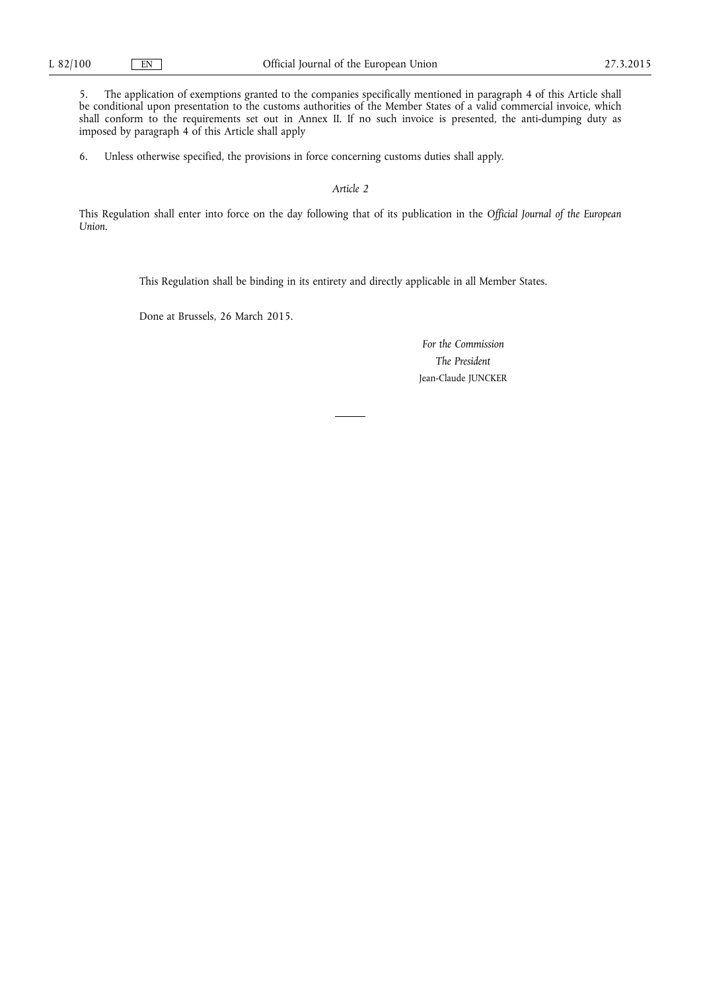5. The application of exemptions granted to the companies specifically mentioned in paragraph 4 of this Article shall be conditional upon presentation to the customs authorities of the Member States of a valid commercial invoice, which shall conform to the requirements set out in Annex II. If no such invoice is presented, the anti-dumping duty as imposed by paragraph 4 of this Article shall apply

6. Unless otherwise specified, the provisions in force concerning customs duties shall apply.

## *Article 2*

This Regulation shall enter into force on the day following that of its publication in the *Official Journal of the European Union*.

This Regulation shall be binding in its entirety and directly applicable in all Member States.

Done at Brussels, 26 March 2015.

*For the Commission The President*  Jean-Claude JUNCKER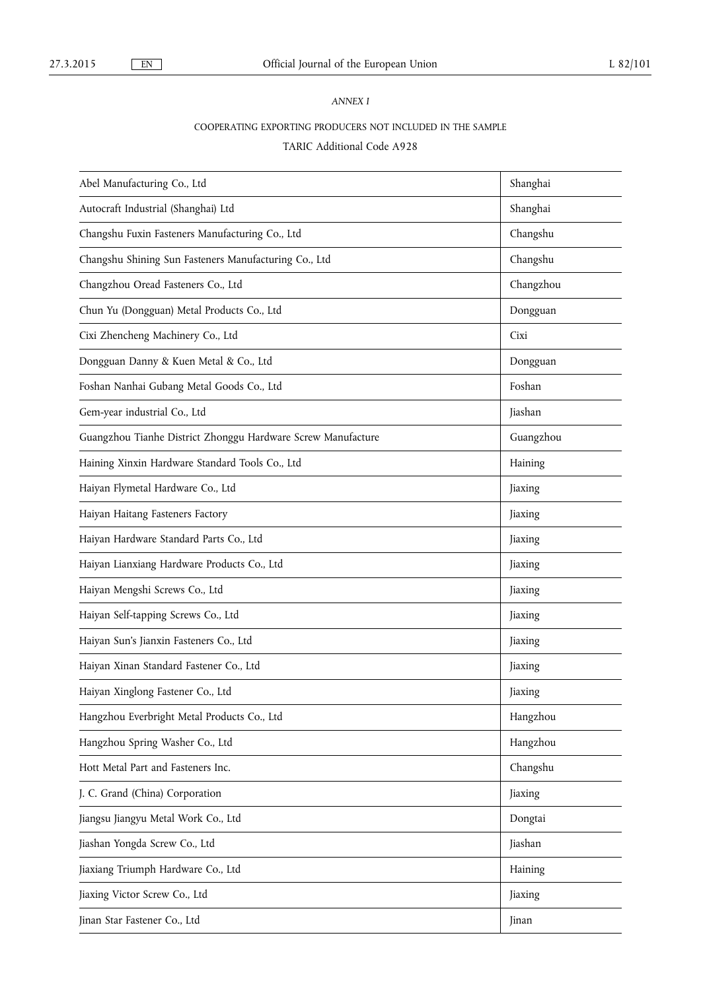# *ANNEX I*

# COOPERATING EXPORTING PRODUCERS NOT INCLUDED IN THE SAMPLE

# TARIC Additional Code A928

| Abel Manufacturing Co., Ltd                                  | Shanghai  |
|--------------------------------------------------------------|-----------|
| Autocraft Industrial (Shanghai) Ltd                          | Shanghai  |
| Changshu Fuxin Fasteners Manufacturing Co., Ltd              | Changshu  |
| Changshu Shining Sun Fasteners Manufacturing Co., Ltd        | Changshu  |
| Changzhou Oread Fasteners Co., Ltd                           | Changzhou |
| Chun Yu (Dongguan) Metal Products Co., Ltd                   | Dongguan  |
| Cixi Zhencheng Machinery Co., Ltd                            | Cixi      |
| Dongguan Danny & Kuen Metal & Co., Ltd                       | Dongguan  |
| Foshan Nanhai Gubang Metal Goods Co., Ltd                    | Foshan    |
| Gem-year industrial Co., Ltd                                 | Jiashan   |
| Guangzhou Tianhe District Zhonggu Hardware Screw Manufacture | Guangzhou |
| Haining Xinxin Hardware Standard Tools Co., Ltd              | Haining   |
| Haiyan Flymetal Hardware Co., Ltd                            | Jiaxing   |
| Haiyan Haitang Fasteners Factory                             | Jiaxing   |
| Haiyan Hardware Standard Parts Co., Ltd                      | Jiaxing   |
| Haiyan Lianxiang Hardware Products Co., Ltd                  | Jiaxing   |
| Haiyan Mengshi Screws Co., Ltd                               | Jiaxing   |
| Haiyan Self-tapping Screws Co., Ltd                          | Jiaxing   |
| Haiyan Sun's Jianxin Fasteners Co., Ltd                      | Jiaxing   |
| Haiyan Xinan Standard Fastener Co., Ltd                      | Jiaxing   |
| Haiyan Xinglong Fastener Co., Ltd                            | Jiaxing   |
| Hangzhou Everbright Metal Products Co., Ltd                  | Hangzhou  |
| Hangzhou Spring Washer Co., Ltd                              | Hangzhou  |
| Hott Metal Part and Fasteners Inc.                           | Changshu  |
| J. C. Grand (China) Corporation                              | Jiaxing   |
| Jiangsu Jiangyu Metal Work Co., Ltd                          | Dongtai   |
| Jiashan Yongda Screw Co., Ltd                                | Jiashan   |
| Jiaxiang Triumph Hardware Co., Ltd                           | Haining   |
| Jiaxing Victor Screw Co., Ltd                                | Jiaxing   |
| Jinan Star Fastener Co., Ltd                                 | Jinan     |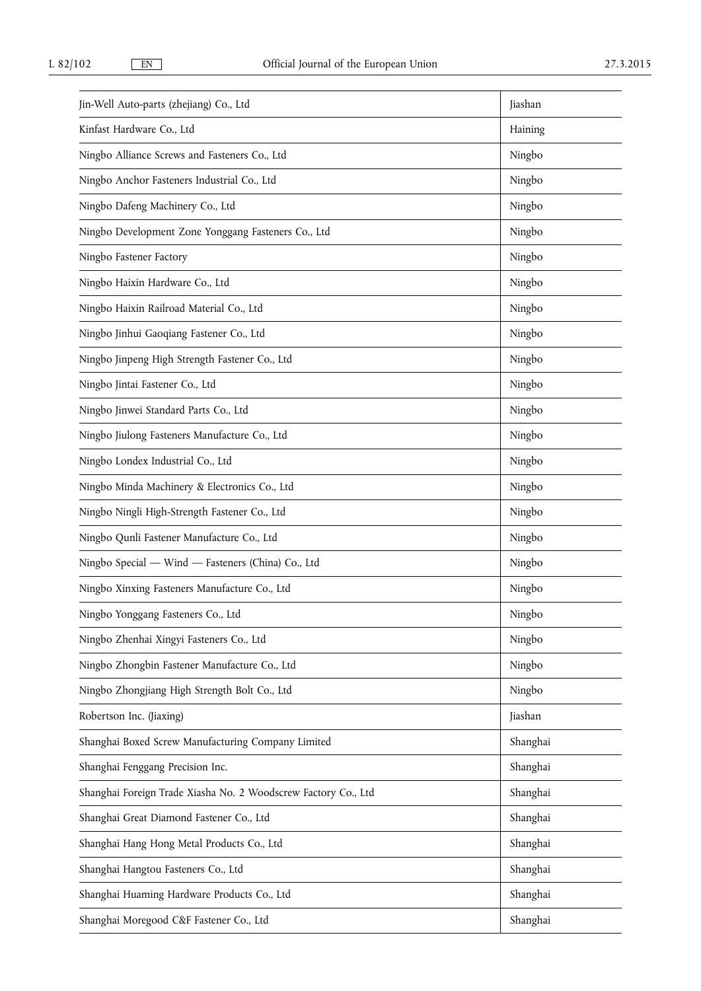| Jin-Well Auto-parts (zhejiang) Co., Ltd                        | Jiashan  |
|----------------------------------------------------------------|----------|
| Kinfast Hardware Co., Ltd                                      | Haining  |
| Ningbo Alliance Screws and Fasteners Co., Ltd                  | Ningbo   |
| Ningbo Anchor Fasteners Industrial Co., Ltd                    | Ningbo   |
| Ningbo Dafeng Machinery Co., Ltd                               | Ningbo   |
| Ningbo Development Zone Yonggang Fasteners Co., Ltd            | Ningbo   |
| Ningbo Fastener Factory                                        | Ningbo   |
| Ningbo Haixin Hardware Co., Ltd                                | Ningbo   |
| Ningbo Haixin Railroad Material Co., Ltd                       | Ningbo   |
| Ningbo Jinhui Gaoqiang Fastener Co., Ltd                       | Ningbo   |
| Ningbo Jinpeng High Strength Fastener Co., Ltd                 | Ningbo   |
| Ningbo Jintai Fastener Co., Ltd                                | Ningbo   |
| Ningbo Jinwei Standard Parts Co., Ltd                          | Ningbo   |
| Ningbo Jiulong Fasteners Manufacture Co., Ltd                  | Ningbo   |
| Ningbo Londex Industrial Co., Ltd                              | Ningbo   |
| Ningbo Minda Machinery & Electronics Co., Ltd                  | Ningbo   |
| Ningbo Ningli High-Strength Fastener Co., Ltd                  | Ningbo   |
| Ningbo Qunli Fastener Manufacture Co., Ltd                     | Ningbo   |
| Ningbo Special - Wind - Fasteners (China) Co., Ltd             | Ningbo   |
| Ningbo Xinxing Fasteners Manufacture Co., Ltd                  | Ningbo   |
| Ningbo Yonggang Fasteners Co., Ltd                             | Ningbo   |
| Ningbo Zhenhai Xingyi Fasteners Co., Ltd                       | Ningbo   |
| Ningbo Zhongbin Fastener Manufacture Co., Ltd                  | Ningbo   |
| Ningbo Zhongjiang High Strength Bolt Co., Ltd                  | Ningbo   |
| Robertson Inc. (Jiaxing)                                       | Jiashan  |
| Shanghai Boxed Screw Manufacturing Company Limited             | Shanghai |
| Shanghai Fenggang Precision Inc.                               | Shanghai |
| Shanghai Foreign Trade Xiasha No. 2 Woodscrew Factory Co., Ltd | Shanghai |
| Shanghai Great Diamond Fastener Co., Ltd                       | Shanghai |
| Shanghai Hang Hong Metal Products Co., Ltd                     | Shanghai |
| Shanghai Hangtou Fasteners Co., Ltd                            | Shanghai |
| Shanghai Huaming Hardware Products Co., Ltd                    | Shanghai |
| Shanghai Moregood C&F Fastener Co., Ltd                        | Shanghai |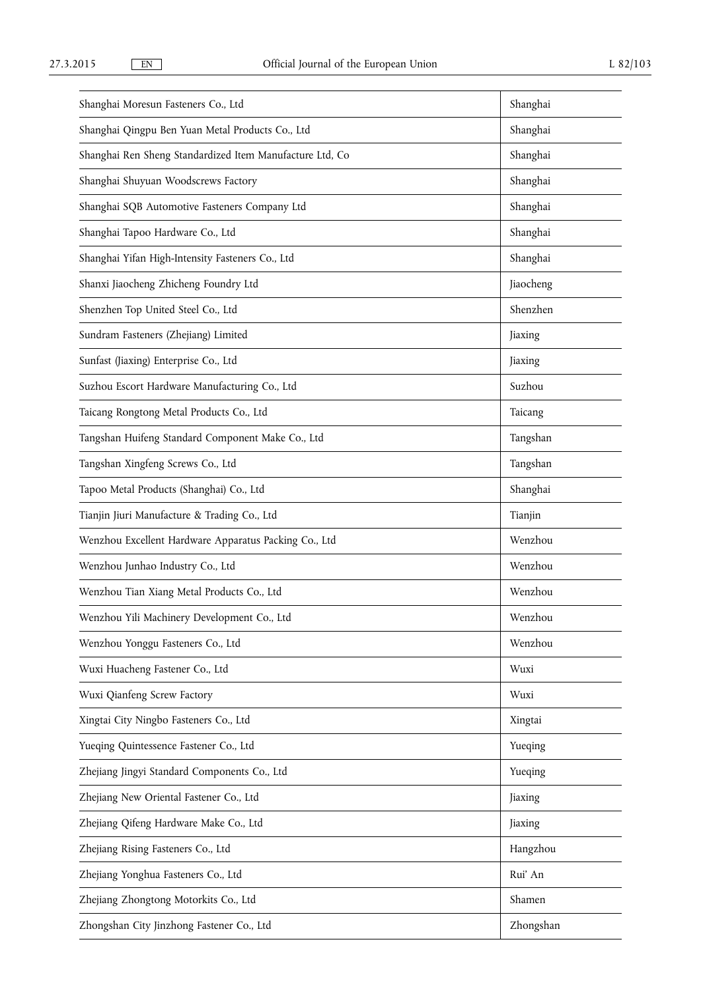| Shanghai Moresun Fasteners Co., Ltd                      | Shanghai  |
|----------------------------------------------------------|-----------|
| Shanghai Qingpu Ben Yuan Metal Products Co., Ltd         | Shanghai  |
| Shanghai Ren Sheng Standardized Item Manufacture Ltd, Co | Shanghai  |
| Shanghai Shuyuan Woodscrews Factory                      | Shanghai  |
| Shanghai SQB Automotive Fasteners Company Ltd            | Shanghai  |
| Shanghai Tapoo Hardware Co., Ltd                         | Shanghai  |
| Shanghai Yifan High-Intensity Fasteners Co., Ltd         | Shanghai  |
| Shanxi Jiaocheng Zhicheng Foundry Ltd                    | Jiaocheng |
| Shenzhen Top United Steel Co., Ltd                       | Shenzhen  |
| Sundram Fasteners (Zhejiang) Limited                     | Jiaxing   |
| Sunfast (Jiaxing) Enterprise Co., Ltd                    | Jiaxing   |
| Suzhou Escort Hardware Manufacturing Co., Ltd            | Suzhou    |
| Taicang Rongtong Metal Products Co., Ltd                 | Taicang   |
| Tangshan Huifeng Standard Component Make Co., Ltd        | Tangshan  |
| Tangshan Xingfeng Screws Co., Ltd                        | Tangshan  |
| Tapoo Metal Products (Shanghai) Co., Ltd                 | Shanghai  |
| Tianjin Jiuri Manufacture & Trading Co., Ltd             | Tianjin   |
| Wenzhou Excellent Hardware Apparatus Packing Co., Ltd    | Wenzhou   |
| Wenzhou Junhao Industry Co., Ltd                         | Wenzhou   |
| Wenzhou Tian Xiang Metal Products Co., Ltd               | Wenzhou   |
| Wenzhou Yili Machinery Development Co., Ltd              | Wenzhou   |
| Wenzhou Yonggu Fasteners Co., Ltd                        | Wenzhou   |
| Wuxi Huacheng Fastener Co., Ltd                          | Wuxi      |
| Wuxi Qianfeng Screw Factory                              | Wuxi      |
| Xingtai City Ningbo Fasteners Co., Ltd                   | Xingtai   |
| Yueqing Quintessence Fastener Co., Ltd                   | Yueqing   |
| Zhejiang Jingyi Standard Components Co., Ltd             | Yueqing   |
| Zhejiang New Oriental Fastener Co., Ltd                  | Jiaxing   |
| Zhejiang Qifeng Hardware Make Co., Ltd                   | Jiaxing   |
| Zhejiang Rising Fasteners Co., Ltd                       | Hangzhou  |
| Zhejiang Yonghua Fasteners Co., Ltd                      | Rui' An   |
| Zhejiang Zhongtong Motorkits Co., Ltd                    | Shamen    |
| Zhongshan City Jinzhong Fastener Co., Ltd                | Zhongshan |